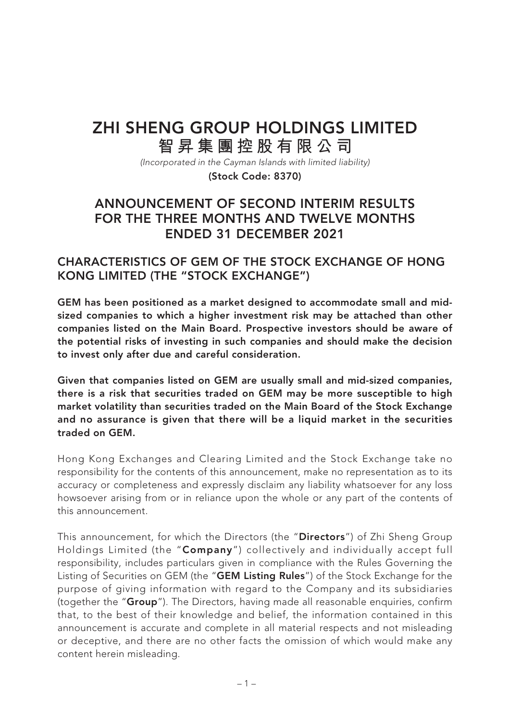## **ZHI SHENG GROUP HOLDINGS LIMITED 智昇集團控股有限公司**

(Incorporated in the Cayman Islands with limited liability) **(Stock Code: 8370)**

## **ANNOUNCEMENT OF SECOND INTERIM RESULTS FOR THE THREE MONTHS AND TWELVE MONTHS ENDED 31 DECEMBER 2021**

### **CHARACTERISTICS OF GEM OF THE STOCK EXCHANGE OF HONG KONG LIMITED (THE "STOCK EXCHANGE")**

**GEM has been positioned as a market designed to accommodate small and midsized companies to which a higher investment risk may be attached than other companies listed on the Main Board. Prospective investors should be aware of the potential risks of investing in such companies and should make the decision to invest only after due and careful consideration.**

**Given that companies listed on GEM are usually small and mid-sized companies, there is a risk that securities traded on GEM may be more susceptible to high market volatility than securities traded on the Main Board of the Stock Exchange and no assurance is given that there will be a liquid market in the securities traded on GEM.**

Hong Kong Exchanges and Clearing Limited and the Stock Exchange take no responsibility for the contents of this announcement, make no representation as to its accuracy or completeness and expressly disclaim any liability whatsoever for any loss howsoever arising from or in reliance upon the whole or any part of the contents of this announcement.

This announcement, for which the Directors (the "**Directors**") of Zhi Sheng Group Holdings Limited (the "**Company**") collectively and individually accept full responsibility, includes particulars given in compliance with the Rules Governing the Listing of Securities on GEM (the "**GEM Listing Rules**") of the Stock Exchange for the purpose of giving information with regard to the Company and its subsidiaries (together the "**Group**"). The Directors, having made all reasonable enquiries, confirm that, to the best of their knowledge and belief, the information contained in this announcement is accurate and complete in all material respects and not misleading or deceptive, and there are no other facts the omission of which would make any content herein misleading.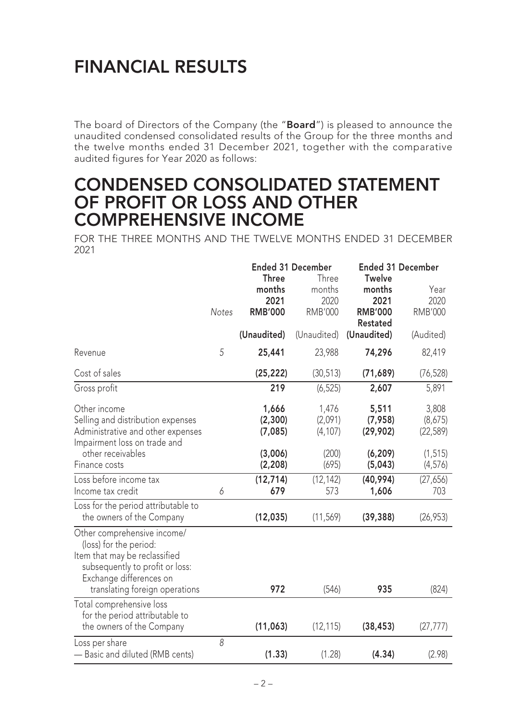# **FINANCIAL RESULTS**

The board of Directors of the Company (the "**Board**") is pleased to announce the unaudited condensed consolidated results of the Group for the three months and the twelve months ended 31 December 2021, together with the comparative audited figures for Year 2020 as follows:

## **CONDENSED CONSOLIDATED STATEMENT OF PROFIT OR LOSS AND OTHER COMPREHENSIVE INCOME**

FOR THE THREE MONTHS AND THE TWELVE MONTHS ENDED 31 DECEMBER 2021

|                                                                                                                                                                                        |              | <b>Ended 31 December</b><br><b>Three</b><br>Three |                                  | <b>Ended 31 December</b><br><b>Twelve</b>           |                                |
|----------------------------------------------------------------------------------------------------------------------------------------------------------------------------------------|--------------|---------------------------------------------------|----------------------------------|-----------------------------------------------------|--------------------------------|
|                                                                                                                                                                                        | <b>Notes</b> | months<br>2021<br><b>RMB'000</b>                  | months<br>2020<br><b>RMB'000</b> | months<br>2021<br><b>RMB'000</b><br><b>Restated</b> | Year<br>2020<br><b>RMB'000</b> |
|                                                                                                                                                                                        |              | (Unaudited)                                       | (Unaudited)                      | (Unaudited)                                         | (Audited)                      |
| Revenue                                                                                                                                                                                | 5            | 25,441                                            | 23,988                           | 74,296                                              | 82,419                         |
| Cost of sales                                                                                                                                                                          |              | (25, 222)                                         | (30, 513)                        | (71,689)                                            | (76, 528)                      |
| Gross profit                                                                                                                                                                           |              | 219                                               | (6, 525)                         | 2,607                                               | 5,891                          |
| Other income<br>Selling and distribution expenses<br>Administrative and other expenses<br>Impairment loss on trade and                                                                 |              | 1,666<br>(2,300)<br>(7,085)                       | 1,476<br>(2,091)<br>(4, 107)     | 5,511<br>(7, 958)<br>(29, 902)                      | 3,808<br>(8,675)<br>(22, 589)  |
| other receivables<br>Finance costs                                                                                                                                                     |              | (3,006)<br>(2, 208)                               | (200)<br>(695)                   | (6, 209)<br>(5,043)                                 | (1, 515)<br>(4, 576)           |
| Loss before income tax<br>Income tax credit                                                                                                                                            | 6            | (12, 714)<br>679                                  | (12, 142)<br>573                 | (40, 994)<br>1,606                                  | (27, 656)<br>703               |
| Loss for the period attributable to<br>the owners of the Company                                                                                                                       |              | (12, 035)                                         | (11, 569)                        | (39, 388)                                           | (26, 953)                      |
| Other comprehensive income/<br>(loss) for the period:<br>Item that may be reclassified<br>subsequently to profit or loss:<br>Exchange differences on<br>translating foreign operations |              | 972                                               | (546)                            | 935                                                 | (824)                          |
| Total comprehensive loss<br>for the period attributable to<br>the owners of the Company                                                                                                |              | (11,063)                                          | (12, 115)                        | (38, 453)                                           | (27, 777)                      |
| Loss per share<br>- Basic and diluted (RMB cents)                                                                                                                                      | 8            | (1.33)                                            | (1.28)                           | (4.34)                                              | (2.98)                         |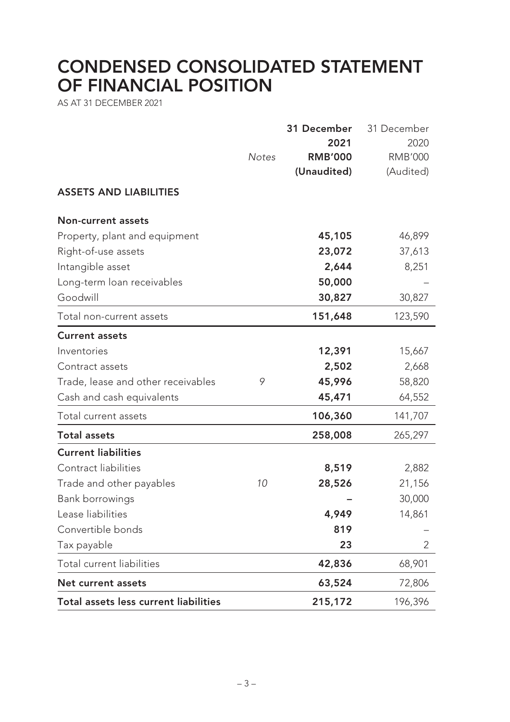# **CONDENSED CONSOLIDATED STATEMENT OF FINANCIAL POSITION**

AS AT 31 DECEMBER 2021

| Total assets less current liabilities                      |              | 215,172        | 196,396        |
|------------------------------------------------------------|--------------|----------------|----------------|
| Net current assets                                         |              | 63,524         | 72,806         |
| Total current liabilities                                  |              | 42,836         | 68,901         |
| Tax payable                                                |              | 23             | 2              |
| Convertible bonds                                          |              | 819            |                |
| Lease liabilities                                          |              | 4,949          | 14,861         |
| Bank borrowings                                            |              |                | 30,000         |
| Trade and other payables                                   | 10           | 28,526         | 21,156         |
| Contract liabilities                                       |              | 8,519          | 2,882          |
| <b>Current liabilities</b>                                 |              |                |                |
| <b>Total assets</b>                                        |              | 258,008        | 265,297        |
| Total current assets                                       |              | 106,360        | 141,707        |
| Cash and cash equivalents                                  |              | 45,471         | 64,552         |
| Trade, lease and other receivables                         | 9            | 45,996         | 58,820         |
| Contract assets                                            |              | 2,502          | 2,668          |
| Inventories                                                |              | 12,391         | 15,667         |
| <b>Current assets</b>                                      |              |                |                |
| Total non-current assets                                   |              | 151,648        | 123,590        |
| Goodwill                                                   |              | 30,827         | 30,827         |
| Long-term loan receivables                                 |              | 50,000         |                |
| Intangible asset                                           |              | 2,644          | 8,251          |
| Right-of-use assets                                        |              | 23,072         | 37,613         |
| <b>Non-current assets</b><br>Property, plant and equipment |              | 45,105         | 46,899         |
| <b>ASSETS AND LIABILITIES</b>                              |              |                |                |
|                                                            |              | (Unaudited)    | (Audited)      |
|                                                            | <b>Notes</b> | <b>RMB'000</b> | <b>RMB'000</b> |
|                                                            |              | 2021           | 2020           |
|                                                            |              | 31 December    | 31 December    |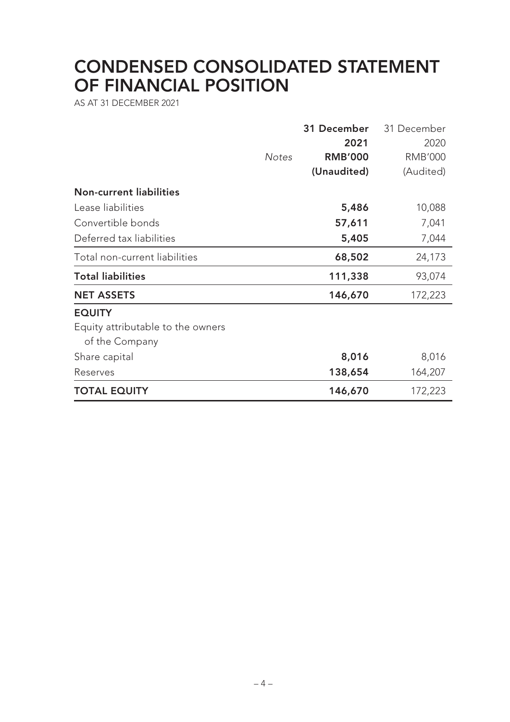# **CONDENSED CONSOLIDATED STATEMENT OF FINANCIAL POSITION**

AS AT 31 DECEMBER 2021

|                                   |              | 31 December    | 31 December    |
|-----------------------------------|--------------|----------------|----------------|
|                                   |              | 2021           | 2020           |
|                                   | <b>Notes</b> | <b>RMB'000</b> | <b>RMB'000</b> |
|                                   |              | (Unaudited)    | (Audited)      |
| <b>Non-current liabilities</b>    |              |                |                |
| Lease liabilities                 |              | 5,486          | 10,088         |
| Convertible bonds                 |              | 57,611         | 7,041          |
| Deferred tax liabilities          |              | 5,405          | 7,044          |
| Total non-current liabilities     |              | 68,502         | 24,173         |
| <b>Total liabilities</b>          |              | 111,338        | 93,074         |
| <b>NET ASSETS</b>                 |              | 146,670        | 172,223        |
| <b>EQUITY</b>                     |              |                |                |
| Equity attributable to the owners |              |                |                |
| of the Company                    |              |                |                |
| Share capital                     |              | 8,016          | 8,016          |
| Reserves                          |              | 138,654        | 164,207        |
| <b>TOTAL EQUITY</b>               |              | 146,670        | 172,223        |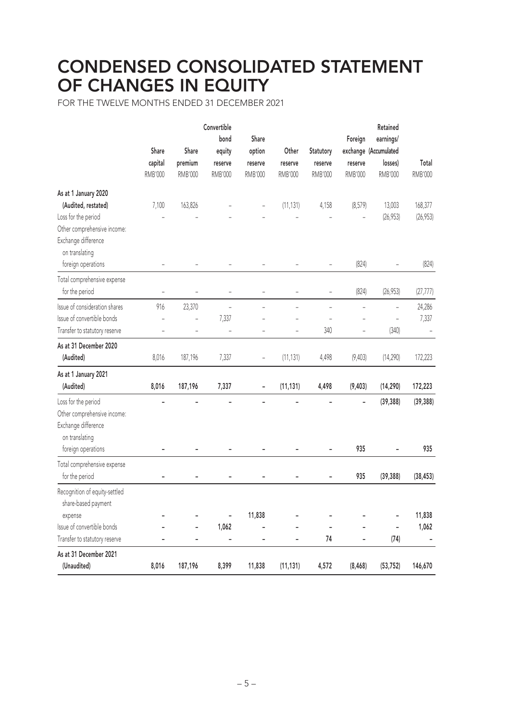# **CONDENSED CONSOLIDATED STATEMENT OF CHANGES IN EQUITY**

FOR THE TWELVE MONTHS ENDED 31 DECEMBER 2021

|                                                                                             | Share<br>capital<br><b>RMB'000</b> | Share<br>premium<br><b>RMB'000</b> | Convertible<br>bond<br>equity<br>reserve<br><b>RMB'000</b> | Share<br>option<br>reserve<br>RMB'000 | Other<br>reserve<br><b>RMB'000</b> | Statutory<br>reserve<br><b>RMB'000</b> | Foreign<br>reserve<br><b>RMB'000</b> | Retained<br>earnings/<br>exchange (Accumulated<br>losses)<br><b>RMB'000</b> | Total<br>RMB'000         |
|---------------------------------------------------------------------------------------------|------------------------------------|------------------------------------|------------------------------------------------------------|---------------------------------------|------------------------------------|----------------------------------------|--------------------------------------|-----------------------------------------------------------------------------|--------------------------|
| As at 1 January 2020                                                                        |                                    |                                    |                                                            |                                       |                                    |                                        |                                      |                                                                             |                          |
| (Audited, restated)                                                                         | 7,100                              | 163,826                            |                                                            |                                       | (11, 131)                          | 4,158                                  | (8,579)                              | 13,003                                                                      | 168,377                  |
| Loss for the period                                                                         |                                    |                                    |                                                            |                                       |                                    |                                        |                                      | (26, 953)                                                                   | (26, 953)                |
| Other comprehensive income:<br>Exchange difference                                          |                                    |                                    |                                                            |                                       |                                    |                                        |                                      |                                                                             |                          |
| on translating<br>foreign operations                                                        |                                    |                                    |                                                            |                                       |                                    |                                        | (824)                                |                                                                             | (824)                    |
| Total comprehensive expense<br>for the period                                               | $\overline{a}$                     |                                    | $\overline{\phantom{0}}$                                   | $\overline{\phantom{0}}$              | -                                  | $\overline{\phantom{a}}$               | (824)                                | (26, 953)                                                                   | (27, 777)                |
| Issue of consideration shares                                                               | 916                                | 23,370                             |                                                            |                                       |                                    |                                        |                                      |                                                                             | 24,286                   |
| Issue of convertible bonds                                                                  | $\overline{a}$                     | L,                                 | 7,337                                                      |                                       |                                    |                                        |                                      | ÷,                                                                          | 7,337                    |
| Transfer to statutory reserve                                                               |                                    |                                    |                                                            |                                       |                                    | 340                                    |                                      | (340)                                                                       |                          |
| As at 31 December 2020                                                                      |                                    |                                    |                                                            |                                       |                                    |                                        |                                      |                                                                             |                          |
| (Audited)                                                                                   | 8,016                              | 187,196                            | 7,337                                                      |                                       | (11, 131)                          | 4,498                                  | (9,403)                              | (14, 290)                                                                   | 172,223                  |
| As at 1 January 2021                                                                        |                                    |                                    |                                                            |                                       |                                    |                                        |                                      |                                                                             |                          |
| (Audited)                                                                                   | 8,016                              | 187,196                            | 7,337                                                      |                                       | (11, 131)                          | 4,498                                  | (9, 403)                             | (14, 290)                                                                   | 172,223                  |
| Loss for the period<br>Other comprehensive income:<br>Exchange difference<br>on translating |                                    |                                    |                                                            |                                       |                                    |                                        |                                      | (39, 388)                                                                   | (39, 388)                |
| foreign operations                                                                          |                                    |                                    |                                                            |                                       |                                    |                                        | 935                                  |                                                                             | 935                      |
| Total comprehensive expense                                                                 |                                    |                                    |                                                            |                                       |                                    |                                        |                                      |                                                                             |                          |
| for the period                                                                              |                                    |                                    |                                                            |                                       |                                    |                                        | 935                                  | (39, 388)                                                                   | (38, 453)                |
| Recognition of equity-settled<br>share-based payment                                        |                                    |                                    |                                                            |                                       |                                    |                                        |                                      |                                                                             |                          |
| expense                                                                                     |                                    |                                    | $\qquad \qquad \blacksquare$                               | 11,838                                |                                    |                                        |                                      | ÷                                                                           | 11,838                   |
| Issue of convertible bonds                                                                  |                                    | -                                  | 1,062                                                      |                                       |                                    |                                        | $\overline{a}$                       | ÷,                                                                          | 1,062                    |
| Transfer to statutory reserve                                                               | $\blacksquare$                     | $\overline{\phantom{a}}$           | ÷,                                                         | ÷,                                    | -                                  | 74                                     | $\overline{\phantom{m}}$             | (74)                                                                        | $\overline{\phantom{0}}$ |
| As at 31 December 2021                                                                      |                                    |                                    |                                                            |                                       |                                    |                                        |                                      |                                                                             |                          |
| (Unaudited)                                                                                 | 8,016                              | 187,196                            | 8,399                                                      | 11,838                                | (11, 131)                          | 4,572                                  | (8, 468)                             | (53, 752)                                                                   | 146,670                  |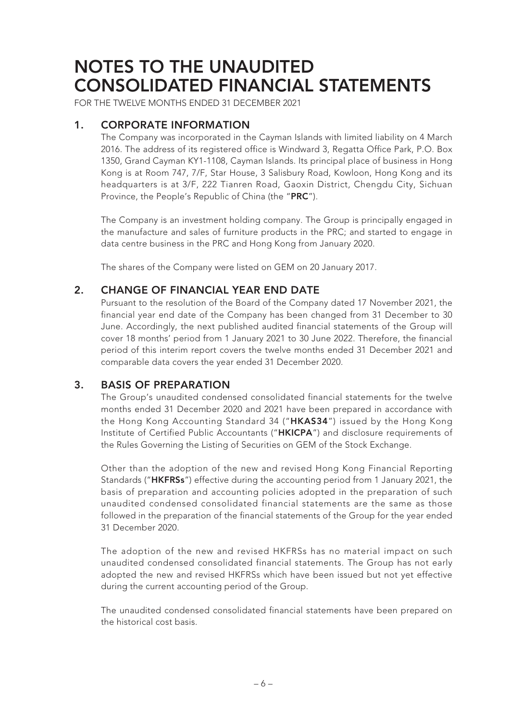FOR THE TWELVE MONTHS ENDED 31 DECEMBER 2021

### **1. CORPORATE INFORMATION**

The Company was incorporated in the Cayman Islands with limited liability on 4 March 2016. The address of its registered office is Windward 3, Regatta Office Park, P.O. Box 1350, Grand Cayman KY1-1108, Cayman Islands. Its principal place of business in Hong Kong is at Room 747, 7/F, Star House, 3 Salisbury Road, Kowloon, Hong Kong and its headquarters is at 3/F, 222 Tianren Road, Gaoxin District, Chengdu City, Sichuan Province, the People's Republic of China (the "**PRC**").

The Company is an investment holding company. The Group is principally engaged in the manufacture and sales of furniture products in the PRC; and started to engage in data centre business in the PRC and Hong Kong from January 2020.

The shares of the Company were listed on GEM on 20 January 2017.

### **2. CHANGE OF FINANCIAL YEAR END DATE**

Pursuant to the resolution of the Board of the Company dated 17 November 2021, the financial year end date of the Company has been changed from 31 December to 30 June. Accordingly, the next published audited financial statements of the Group will cover 18 months' period from 1 January 2021 to 30 June 2022. Therefore, the financial period of this interim report covers the twelve months ended 31 December 2021 and comparable data covers the year ended 31 December 2020.

### **3. BASIS OF PREPARATION**

The Group's unaudited condensed consolidated financial statements for the twelve months ended 31 December 2020 and 2021 have been prepared in accordance with the Hong Kong Accounting Standard 34 ("**HKAS34**") issued by the Hong Kong Institute of Certified Public Accountants ("**HKICPA**") and disclosure requirements of the Rules Governing the Listing of Securities on GEM of the Stock Exchange.

Other than the adoption of the new and revised Hong Kong Financial Reporting Standards ("**HKFRSs**") effective during the accounting period from 1 January 2021, the basis of preparation and accounting policies adopted in the preparation of such unaudited condensed consolidated financial statements are the same as those followed in the preparation of the financial statements of the Group for the year ended 31 December 2020.

The adoption of the new and revised HKFRSs has no material impact on such unaudited condensed consolidated financial statements. The Group has not early adopted the new and revised HKFRSs which have been issued but not yet effective during the current accounting period of the Group.

The unaudited condensed consolidated financial statements have been prepared on the historical cost basis.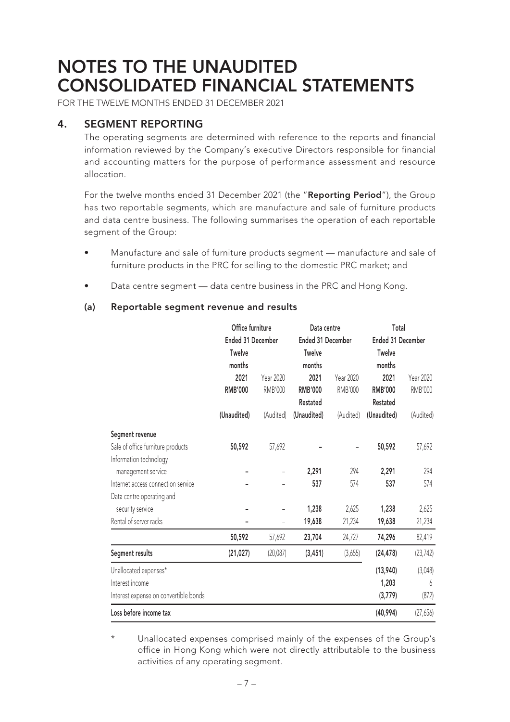FOR THE TWELVE MONTHS ENDED 31 DECEMBER 2021

### **4. SEGMENT REPORTING**

The operating segments are determined with reference to the reports and financial information reviewed by the Company's executive Directors responsible for financial and accounting matters for the purpose of performance assessment and resource allocation.

For the twelve months ended 31 December 2021 (the "**Reporting Period**"), the Group has two reportable segments, which are manufacture and sale of furniture products and data centre business. The following summarises the operation of each reportable segment of the Group:

- Manufacture and sale of furniture products segment manufacture and sale of furniture products in the PRC for selling to the domestic PRC market; and
- Data centre segment data centre business in the PRC and Hong Kong.

#### **(a) Reportable segment revenue and results**

|                                       | Office furniture  |                | Data centre       |                | Total             |                |  |
|---------------------------------------|-------------------|----------------|-------------------|----------------|-------------------|----------------|--|
|                                       | Ended 31 December |                | Ended 31 December |                | Ended 31 December |                |  |
|                                       | Twelve            |                | <b>Twelve</b>     |                | Twelve            |                |  |
|                                       | months            |                | months            |                | months            |                |  |
|                                       | 2021              | Year 2020      | 2021              | Year 2020      | 2021              | Year 2020      |  |
|                                       | <b>RMB'000</b>    | <b>RMB'000</b> | <b>RMB'000</b>    | <b>RMB'000</b> | <b>RMB'000</b>    | <b>RMB'000</b> |  |
|                                       |                   |                | Restated          |                | Restated          |                |  |
|                                       | (Unaudited)       | (Audited)      | (Unaudited)       | (Audited)      | (Unaudited)       | (Audited)      |  |
| Segment revenue                       |                   |                |                   |                |                   |                |  |
| Sale of office furniture products     | 50,592            | 57,692         |                   |                | 50,592            | 57,692         |  |
| Information technology                |                   |                |                   |                |                   |                |  |
| management service                    |                   |                | 2,291             | 294            | 2,291             | 294            |  |
| Internet access connection service    |                   |                | 537               | 574            | 537               | 574            |  |
| Data centre operating and             |                   |                |                   |                |                   |                |  |
| security service                      |                   |                | 1,238             | 2,625          | 1,238             | 2,625          |  |
| Rental of server racks                |                   |                | 19,638            | 21,234         | 19,638            | 21,234         |  |
|                                       | 50,592            | 57,692         | 23,704            | 24,727         | 74,296            | 82,419         |  |
| Segment results                       | (21, 027)         | (20,087)       | (3, 451)          | (3,655)        | (24, 478)         | (23, 742)      |  |
| Unallocated expenses*                 |                   |                |                   |                | (13,940)          | (3,048)        |  |
| Interest income                       |                   |                |                   |                | 1,203             | 6              |  |
| Interest expense on convertible bonds |                   |                |                   |                | (3,779)           | (872)          |  |
| Loss before income tax                |                   |                |                   |                | (40, 994)         | (27,656)       |  |

Unallocated expenses comprised mainly of the expenses of the Group's office in Hong Kong which were not directly attributable to the business activities of any operating segment.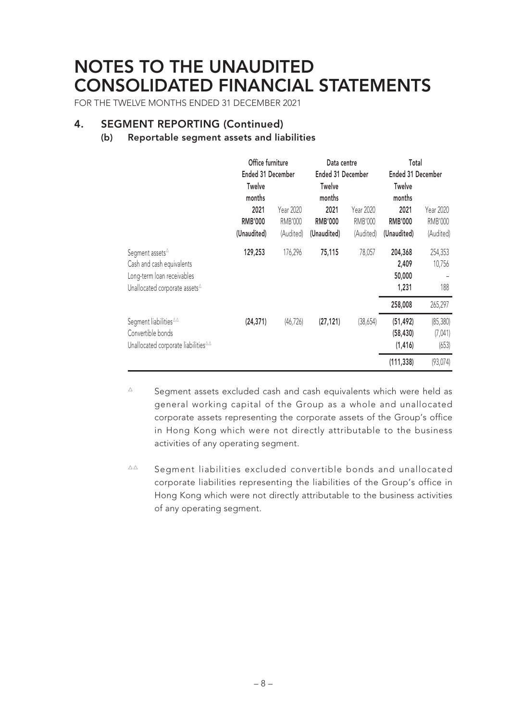FOR THE TWELVE MONTHS ENDED 31 DECEMBER 2021

### **4. SEGMENT REPORTING (Continued)**

#### **(b) Reportable segment assets and liabilities**

|                                                                                                                                                          | Office furniture<br>Ended 31 December                            |                                   |                                                                  | Data centre<br>Ended 31 December  |                                                                  | Total<br>Ended 31 December        |
|----------------------------------------------------------------------------------------------------------------------------------------------------------|------------------------------------------------------------------|-----------------------------------|------------------------------------------------------------------|-----------------------------------|------------------------------------------------------------------|-----------------------------------|
|                                                                                                                                                          | <b>Twelve</b><br>months<br>2021<br><b>RMB'000</b><br>(Unaudited) | Year 2020<br>RMB'000<br>(Audited) | <b>Twelve</b><br>months<br>2021<br><b>RMB'000</b><br>(Unaudited) | Year 2020<br>RMB'000<br>(Audited) | <b>Twelve</b><br>months<br>2021<br><b>RMB'000</b><br>(Unaudited) | Year 2020<br>RMB'000<br>(Audited) |
| Segment assets <sup>∆</sup><br>Cash and cash equivalents<br>Long-term loan receivables<br>Unallocated corporate assets <sup><math>\triangle</math></sup> | 129,253                                                          | 176,296                           | 75,115                                                           | 78,057                            | 204,368<br>2,409<br>50,000<br>1,231                              | 254,353<br>10,756<br>188          |
|                                                                                                                                                          |                                                                  |                                   |                                                                  |                                   | 258,008                                                          | 265,297                           |
| Segment liabilities <sup>44</sup><br>Convertible bonds<br>Unallocated corporate liabilities <sup>44</sup>                                                | (24, 371)                                                        | (46, 726)                         | (27, 121)                                                        | (38,654)                          | (51, 492)<br>(58, 430)<br>(1, 416)                               | (85, 380)<br>(7,041)<br>(653)     |
|                                                                                                                                                          |                                                                  |                                   |                                                                  |                                   | (111, 338)                                                       | (93, 074)                         |

 $\Delta$  Segment assets excluded cash and cash equivalents which were held as general working capital of the Group as a whole and unallocated corporate assets representing the corporate assets of the Group's office in Hong Kong which were not directly attributable to the business activities of any operating segment.

△△ Segment liabilities excluded convertible bonds and unallocated corporate liabilities representing the liabilities of the Group's office in Hong Kong which were not directly attributable to the business activities of any operating segment.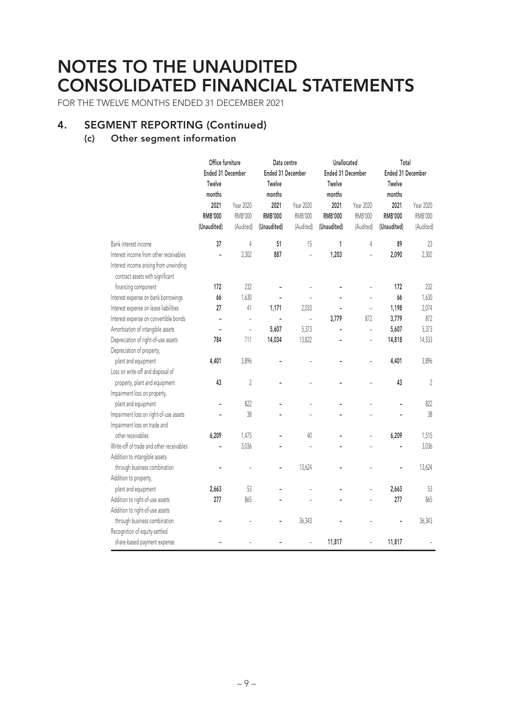FOR THE TWELVE MONTHS ENDED 31 DECEMBER 2021

### **4. SEGMENT REPORTING (Continued)**

#### **(c) Other segment information**

|                                                                            | Office furniture  |                          | Data centre       |                | Unallocated       |                | Total             |                |
|----------------------------------------------------------------------------|-------------------|--------------------------|-------------------|----------------|-------------------|----------------|-------------------|----------------|
|                                                                            | Ended 31 December |                          | Ended 31 December |                | Ended 31 December |                | Ended 31 December |                |
|                                                                            | Twelve            |                          | Twelve            |                | Twelve            |                | Twelve            |                |
|                                                                            | months            |                          | months            |                | months            |                | months            |                |
|                                                                            | 2021              | Year 2020                | 2021              | Year 2020      | 2021              | Year 2020      | 2021              | Year 2020      |
|                                                                            | <b>RMB'000</b>    | <b>RMB'000</b>           | <b>RMB'000</b>    | RMB'000        | <b>RMB'000</b>    | <b>RMB'000</b> | <b>RMB'000</b>    | <b>RMB'000</b> |
|                                                                            | (Unaudited)       | (Audited)                | (Unaudited)       | (Audited)      | (Unaudited)       | (Audited)      | (Unaudited)       | (Audited)      |
| Bank interest income                                                       | 37                | 4                        | 51                | 15             | 1                 | 4              | 89                | 23             |
| Interest income from other receivables                                     |                   | 2,302                    | 887               | $\overline{a}$ | 1,203             |                | 2,090             | 2,302          |
| Interest income arising from unwinding<br>contract assets with significant |                   |                          |                   |                |                   |                |                   |                |
| financing component                                                        | 172               | 232                      |                   |                |                   |                | 172               | 232            |
| Interest expense on bank borrowings                                        | 66                | 1,630                    |                   |                |                   |                | 66                | 1,630          |
| Interest expense on lease liabilities                                      | 27                | 41                       | 1,171             | 2,033          |                   |                | 1,198             | 2,074          |
| Interest expense on convertible bonds                                      | ÷,                | $\overline{a}$           | $\overline{a}$    | $\overline{a}$ | 3,779             | 872            | 3,779             | 872            |
| Amortisation of intangible assets                                          |                   | $\overline{\phantom{0}}$ | 5,607             | 5,373          |                   |                | 5,607             | 5,373          |
| Depreciation of right-of-use assets                                        | 784               | 711                      | 14,034            | 13,822         |                   |                | 14,818            | 14,533         |
| Depreciation of property,                                                  |                   |                          |                   |                |                   |                |                   |                |
| plant and equipment                                                        | 4,401             | 3,896                    |                   |                |                   |                | 4,401             | 3,896          |
| Loss on write-off and disposal of                                          |                   |                          |                   |                |                   |                |                   |                |
| property, plant and equipment                                              | 43                | $\sqrt{2}$               |                   |                |                   |                | 43                | $\sqrt{2}$     |
| Impairment loss on property,                                               |                   |                          |                   |                |                   |                |                   |                |
| plant and equipment                                                        |                   | 822                      |                   |                |                   |                |                   | 822            |
| Impairment loss on right-of-use assets                                     |                   | 38                       |                   |                |                   |                |                   | 38             |
| Impairment loss on trade and                                               |                   |                          |                   |                |                   |                |                   |                |
| other receivables                                                          | 6,209             | 1,475                    |                   | 40             |                   |                | 6,209             | 1,515          |
| Write-off of trade and other receivables                                   |                   | 3,036                    |                   |                |                   |                |                   | 3,036          |
| Addition to intangible assets                                              |                   |                          |                   |                |                   |                |                   |                |
| through business combination                                               |                   |                          |                   | 13,624         |                   |                |                   | 13,624         |
| Addition to property,                                                      |                   |                          |                   |                |                   |                |                   |                |
| plant and equipment                                                        | 2,663             | 53                       |                   |                |                   |                | 2,663             | 53             |
| Addition to right-of-use assets                                            | 277               | 865                      |                   |                |                   |                | 277               | 865            |
| Addition to right-of-use assets                                            |                   |                          |                   |                |                   |                |                   |                |
| through business combination                                               |                   |                          |                   | 36,343         |                   |                |                   | 36,343         |
| Recognition of equity-settled                                              |                   |                          |                   |                |                   |                |                   |                |
| share-based payment expense                                                |                   |                          |                   | $\overline{a}$ | 11,817            | $\overline{a}$ | 11,817            |                |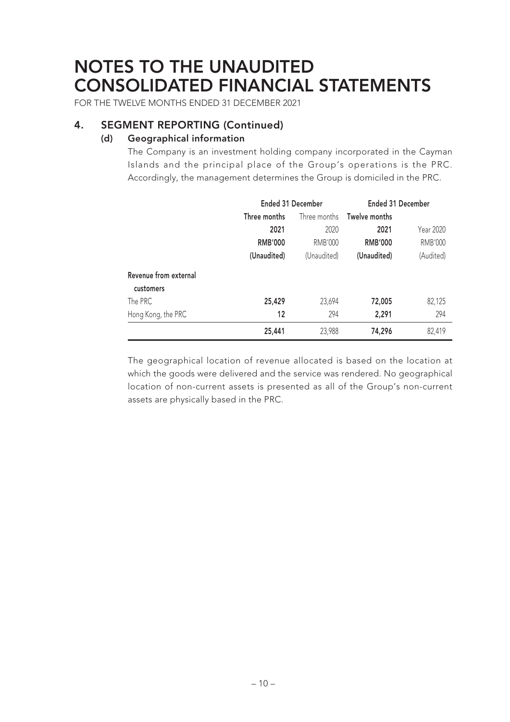FOR THE TWELVE MONTHS ENDED 31 DECEMBER 2021

### **4. SEGMENT REPORTING (Continued)**

### **(d) Geographical information**

The Company is an investment holding company incorporated in the Cayman Islands and the principal place of the Group's operations is the PRC. Accordingly, the management determines the Group is domiciled in the PRC.

|                       |                | <b>Ended 31 December</b> | <b>Ended 31 December</b> |           |
|-----------------------|----------------|--------------------------|--------------------------|-----------|
|                       | Three months   | Three months             | Twelve months            |           |
|                       | 2021           | 2020                     | 2021                     | Year 2020 |
|                       | <b>RMB'000</b> | RMB'000                  | <b>RMB'000</b>           | RMB'000   |
|                       | (Unaudited)    | (Unaudited)              | (Unaudited)              | (Audited) |
| Revenue from external |                |                          |                          |           |
| customers             |                |                          |                          |           |
| The PRC               | 25,429         | 23,694                   | 72,005                   | 82,125    |
| Hong Kong, the PRC    | 12             | 294                      | 2,291                    | 294       |
|                       | 25,441         | 23,988                   | 74,296                   | 82,419    |

The geographical location of revenue allocated is based on the location at which the goods were delivered and the service was rendered. No geographical location of non-current assets is presented as all of the Group's non-current assets are physically based in the PRC.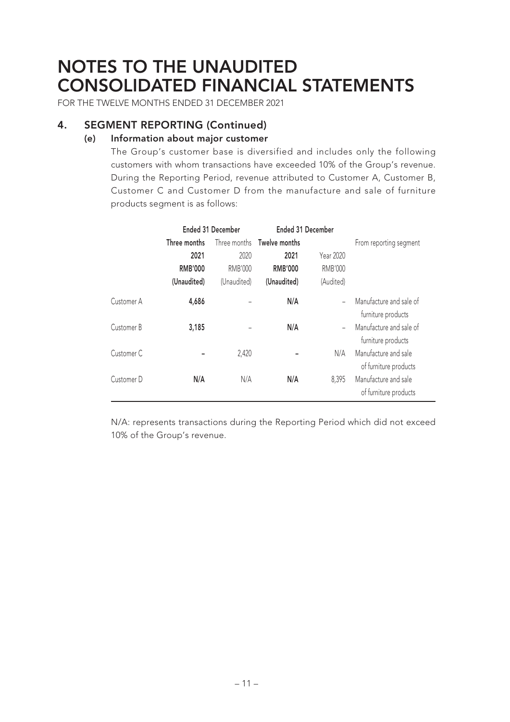FOR THE TWELVE MONTHS ENDED 31 DECEMBER 2021

### **4. SEGMENT REPORTING (Continued)**

#### **(e) Information about major customer**

The Group's customer base is diversified and includes only the following customers with whom transactions have exceeded 10% of the Group's revenue. During the Reporting Period, revenue attributed to Customer A, Customer B, Customer C and Customer D from the manufacture and sale of furniture products segment is as follows:

|                       | <b>Ended 31 December</b> |             | <b>Ended 31 December</b>   |           |                                               |  |  |
|-----------------------|--------------------------|-------------|----------------------------|-----------|-----------------------------------------------|--|--|
|                       | Three months             |             | Three months Twelve months |           | From reporting segment                        |  |  |
|                       | 2021                     | 2020        | 2021                       | Year 2020 |                                               |  |  |
|                       | <b>RMB'000</b>           | RMB'000     | <b>RMB'000</b>             | RMB'000   |                                               |  |  |
|                       | (Unaudited)              | (Unaudited) | (Unaudited)                | (Audited) |                                               |  |  |
| Customer A            | 4,686                    |             | N/A                        |           | Manufacture and sale of<br>furniture products |  |  |
| Customer B            | 3,185                    |             | N/A                        |           | Manufacture and sale of<br>furniture products |  |  |
| Customer <sub>C</sub> |                          | 2,420       |                            | N/A       | Manufacture and sale<br>of furniture products |  |  |
| Customer D            | N/A                      | N/A         | N/A                        | 8,395     | Manufacture and sale<br>of furniture products |  |  |

N/A: represents transactions during the Reporting Period which did not exceed 10% of the Group's revenue.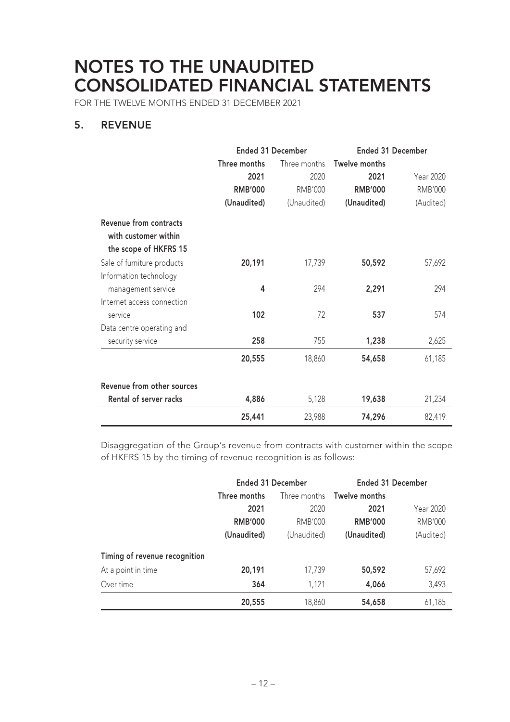FOR THE TWELVE MONTHS ENDED 31 DECEMBER 2021

### **5. REVENUE**

|                                                       | <b>Ended 31 December</b> |                | <b>Ended 31 December</b> |                  |  |
|-------------------------------------------------------|--------------------------|----------------|--------------------------|------------------|--|
|                                                       | Three months             | Three months   | Twelve months            |                  |  |
|                                                       | 2021                     | 2020           | 2021                     | <b>Year 2020</b> |  |
|                                                       | <b>RMB'000</b>           | <b>RMB'000</b> | <b>RMB'000</b>           | <b>RMB'000</b>   |  |
|                                                       | (Unaudited)              | (Unaudited)    | (Unaudited)              | (Audited)        |  |
| <b>Revenue from contracts</b><br>with customer within |                          |                |                          |                  |  |
| the scope of HKFRS 15                                 |                          |                |                          |                  |  |
| Sale of furniture products                            | 20,191                   | 17,739         | 50,592                   | 57,692           |  |
| Information technology                                |                          |                |                          |                  |  |
| management service                                    | 4                        | 294            | 2,291                    | 294              |  |
| Internet access connection                            |                          |                |                          |                  |  |
| service                                               | 102                      | 72             | 537                      | 574              |  |
| Data centre operating and                             |                          |                |                          |                  |  |
| security service                                      | 258                      | 755            | 1,238                    | 2,625            |  |
|                                                       | 20,555                   | 18,860         | 54,658                   | 61,185           |  |
| Revenue from other sources                            |                          |                |                          |                  |  |
| Rental of server racks                                | 4,886                    | 5,128          | 19,638                   | 21,234           |  |
|                                                       | 25,441                   | 23,988         | 74,296                   | 82,419           |  |

Disaggregation of the Group's revenue from contracts with customer within the scope of HKFRS 15 by the timing of revenue recognition is as follows:

|                               | <b>Ended 31 December</b> |             | <b>Ended 31 December</b>   |                |
|-------------------------------|--------------------------|-------------|----------------------------|----------------|
|                               | Three months             |             | Three months Twelve months |                |
|                               | 2021                     | 2020        | 2021                       | Year 2020      |
|                               | <b>RMB'000</b>           | RMB'000     | <b>RMB'000</b>             | <b>RMB'000</b> |
|                               | (Unaudited)              | (Unaudited) | (Unaudited)                | (Audited)      |
| Timing of revenue recognition |                          |             |                            |                |
| At a point in time            | 20,191                   | 17,739      | 50,592                     | 57,692         |
| Over time                     | 364                      | 1,121       | 4,066                      | 3,493          |
|                               | 20,555                   | 18,860      | 54,658                     | 61,185         |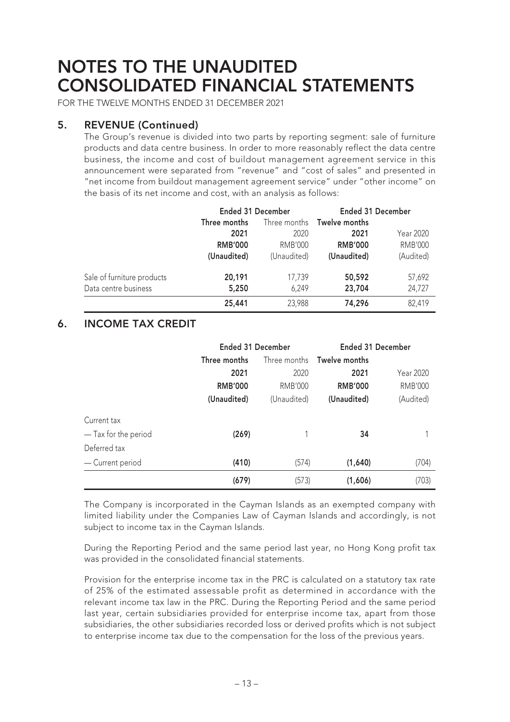FOR THE TWELVE MONTHS ENDED 31 DECEMBER 2021

### **5. REVENUE (Continued)**

The Group's revenue is divided into two parts by reporting segment: sale of furniture products and data centre business. In order to more reasonably reflect the data centre business, the income and cost of buildout management agreement service in this announcement were separated from "revenue" and "cost of sales" and presented in "net income from buildout management agreement service" under "other income" on the basis of its net income and cost, with an analysis as follows:

|                            | <b>Ended 31 December</b> |             |                                   | <b>Ended 31 December</b> |  |  |
|----------------------------|--------------------------|-------------|-----------------------------------|--------------------------|--|--|
|                            | Three months             |             | Three months <b>Twelve months</b> |                          |  |  |
|                            | 2021                     | 2020        | 2021                              | Year 2020                |  |  |
|                            | <b>RMB'000</b>           | RMB'000     | <b>RMB'000</b>                    | <b>RMB'000</b>           |  |  |
|                            | (Unaudited)              | (Unaudited) | (Unaudited)                       | (Audited)                |  |  |
| Sale of furniture products | 20,191                   | 17,739      | 50,592                            | 57,692                   |  |  |
| Data centre business       | 5,250                    | 6,249       | 23,704                            | 24,727                   |  |  |
|                            | 25,441                   | 23,988      | 74,296                            | 82,419                   |  |  |

### **6. INCOME TAX CREDIT**

|                      |                | <b>Ended 31 December</b> |                                   | <b>Ended 31 December</b> |  |
|----------------------|----------------|--------------------------|-----------------------------------|--------------------------|--|
|                      | Three months   |                          | Three months <b>Twelve months</b> |                          |  |
|                      | 2021           | 2020                     | 2021                              | Year 2020                |  |
|                      | <b>RMB'000</b> | <b>RMB'000</b>           | <b>RMB'000</b>                    | <b>RMB'000</b>           |  |
|                      | (Unaudited)    | (Unaudited)              | (Unaudited)                       | (Audited)                |  |
| Current tax          |                |                          |                                   |                          |  |
| — Tax for the period | (269)          |                          | 34                                |                          |  |
| Deferred tax         |                |                          |                                   |                          |  |
| - Current period     | (410)          | (574)                    | (1,640)                           | (704)                    |  |
|                      | (679)          | (573)                    | (1,606)                           | (703)                    |  |

The Company is incorporated in the Cayman Islands as an exempted company with limited liability under the Companies Law of Cayman Islands and accordingly, is not subject to income tax in the Cayman Islands.

During the Reporting Period and the same period last year, no Hong Kong profit tax was provided in the consolidated financial statements.

Provision for the enterprise income tax in the PRC is calculated on a statutory tax rate of 25% of the estimated assessable profit as determined in accordance with the relevant income tax law in the PRC. During the Reporting Period and the same period last year, certain subsidiaries provided for enterprise income tax, apart from those subsidiaries, the other subsidiaries recorded loss or derived profits which is not subject to enterprise income tax due to the compensation for the loss of the previous years.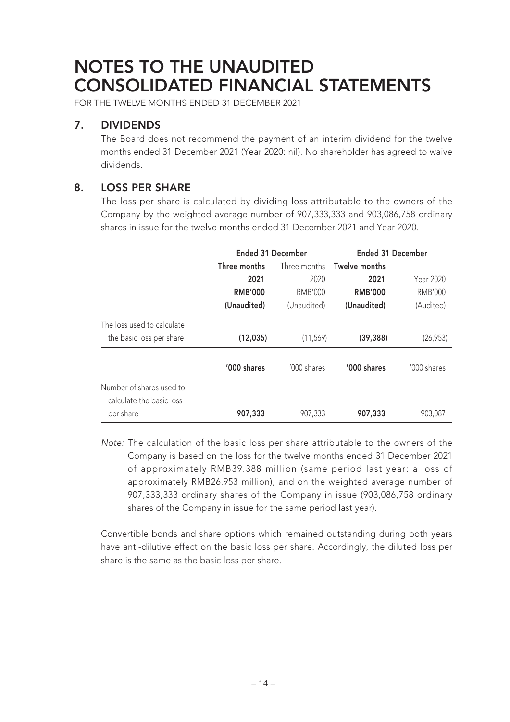FOR THE TWELVE MONTHS ENDED 31 DECEMBER 2021

### **7. DIVIDENDS**

The Board does not recommend the payment of an interim dividend for the twelve months ended 31 December 2021 (Year 2020: nil). No shareholder has agreed to waive dividends.

### **8. LOSS PER SHARE**

The loss per share is calculated by dividing loss attributable to the owners of the Company by the weighted average number of 907,333,333 and 903,086,758 ordinary shares in issue for the twelve months ended 31 December 2021 and Year 2020.

|                            | <b>Ended 31 December</b> |              | <b>Ended 31 December</b> |             |
|----------------------------|--------------------------|--------------|--------------------------|-------------|
|                            | Three months             | Three months | Twelve months            |             |
|                            | 2021                     | 2020         | 2021                     | Year 2020   |
|                            | <b>RMB'000</b>           | RMB'000      | <b>RMB'000</b>           | RMB'000     |
|                            | (Unaudited)              | (Unaudited)  | (Unaudited)              | (Audited)   |
| The loss used to calculate |                          |              |                          |             |
| the basic loss per share   | (12, 035)                | (11, 569)    | (39, 388)                | (26, 953)   |
|                            | '000 shares              | '000 shares  | '000 shares              | '000 shares |
| Number of shares used to   |                          |              |                          |             |
| calculate the basic loss   |                          |              |                          |             |
| per share                  | 907,333                  | 907,333      | 907,333                  | 903,087     |

Note: The calculation of the basic loss per share attributable to the owners of the Company is based on the loss for the twelve months ended 31 December 2021 of approximately RMB39.388 million (same period last year: a loss of approximately RMB26.953 million), and on the weighted average number of 907,333,333 ordinary shares of the Company in issue (903,086,758 ordinary shares of the Company in issue for the same period last year).

Convertible bonds and share options which remained outstanding during both years have anti-dilutive effect on the basic loss per share. Accordingly, the diluted loss per share is the same as the basic loss per share.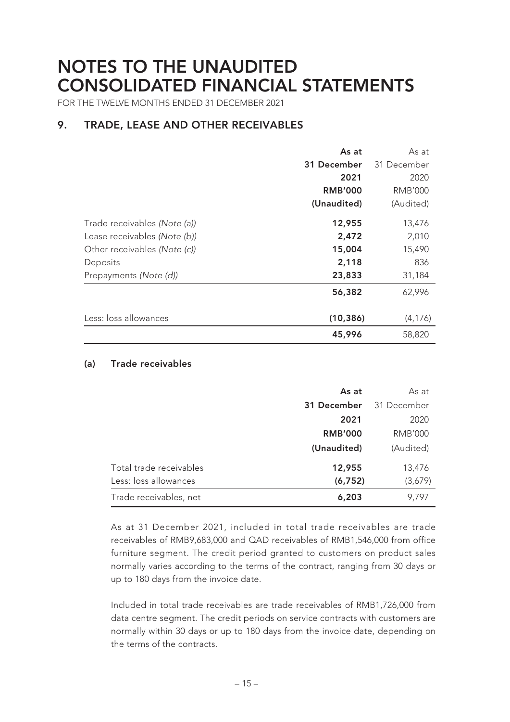FOR THE TWELVE MONTHS ENDED 31 DECEMBER 2021

### **9. TRADE, LEASE AND OTHER RECEIVABLES**

|                              | As at<br>31 December<br>2021<br><b>RMB'000</b> | As at<br>31 December<br>2020<br>RMB'000 |
|------------------------------|------------------------------------------------|-----------------------------------------|
|                              | (Unaudited)                                    | (Audited)                               |
| Trade receivables (Note (a)) | 12,955                                         | 13,476                                  |
| Lease receivables (Note (b)) | 2,472                                          | 2,010                                   |
| Other receivables (Note (c)) | 15,004                                         | 15,490                                  |
| Deposits                     | 2,118                                          | 836                                     |
| Prepayments (Note (d))       | 23,833                                         | 31,184                                  |
|                              | 56,382                                         | 62,996                                  |
| Less: loss allowances        | (10, 386)                                      | (4, 176)                                |
|                              | 45,996                                         | 58,820                                  |

#### **(a) Trade receivables**

|                                                  | As at              | As at             |
|--------------------------------------------------|--------------------|-------------------|
|                                                  | 31 December        | 31 December       |
|                                                  | 2021               | 2020              |
|                                                  | <b>RMB'000</b>     | <b>RMB'000</b>    |
|                                                  | (Unaudited)        | (Audited)         |
| Total trade receivables<br>Less: loss allowances | 12,955<br>(6, 752) | 13,476<br>(3,679) |
| Trade receivables, net                           | 6,203              | 9,797             |

As at 31 December 2021, included in total trade receivables are trade receivables of RMB9,683,000 and QAD receivables of RMB1,546,000 from office furniture segment. The credit period granted to customers on product sales normally varies according to the terms of the contract, ranging from 30 days or up to 180 days from the invoice date.

Included in total trade receivables are trade receivables of RMB1,726,000 from data centre segment. The credit periods on service contracts with customers are normally within 30 days or up to 180 days from the invoice date, depending on the terms of the contracts.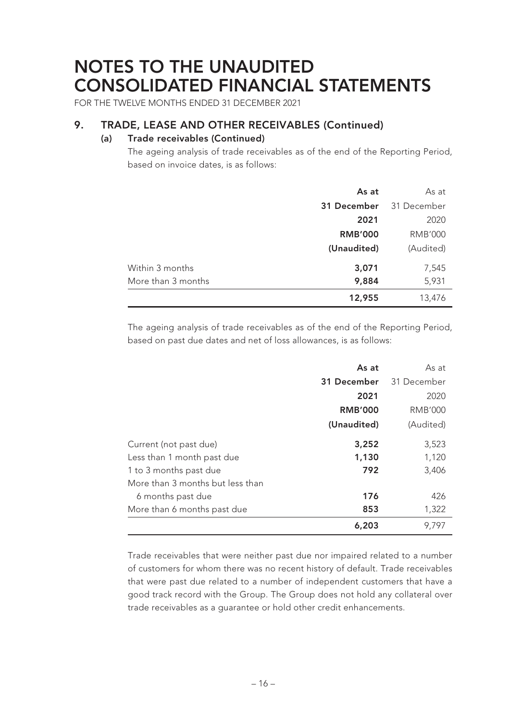FOR THE TWELVE MONTHS ENDED 31 DECEMBER 2021

### **9. TRADE, LEASE AND OTHER RECEIVABLES (Continued)**

#### **(a) Trade receivables (Continued)**

The ageing analysis of trade receivables as of the end of the Reporting Period, based on invoice dates, is as follows:

|                    | As at          | As at       |
|--------------------|----------------|-------------|
|                    | 31 December    | 31 December |
|                    | 2021           | 2020        |
|                    | <b>RMB'000</b> | RMB'000     |
|                    | (Unaudited)    | (Audited)   |
| Within 3 months    | 3,071          | 7,545       |
| More than 3 months | 9,884          | 5,931       |
|                    | 12,955         | 13,476      |

The ageing analysis of trade receivables as of the end of the Reporting Period, based on past due dates and net of loss allowances, is as follows:

|                                  | As at          | As at          |
|----------------------------------|----------------|----------------|
|                                  | 31 December    | 31 December    |
|                                  | 2021           | 2020           |
|                                  | <b>RMB'000</b> | <b>RMB'000</b> |
|                                  | (Unaudited)    | (Audited)      |
| Current (not past due)           | 3,252          | 3,523          |
| Less than 1 month past due       | 1,130          | 1,120          |
| 1 to 3 months past due           | 792            | 3,406          |
| More than 3 months but less than |                |                |
| 6 months past due                | 176            | 426            |
| More than 6 months past due      | 853            | 1,322          |
|                                  | 6,203          | 9,797          |

Trade receivables that were neither past due nor impaired related to a number of customers for whom there was no recent history of default. Trade receivables that were past due related to a number of independent customers that have a good track record with the Group. The Group does not hold any collateral over trade receivables as a guarantee or hold other credit enhancements.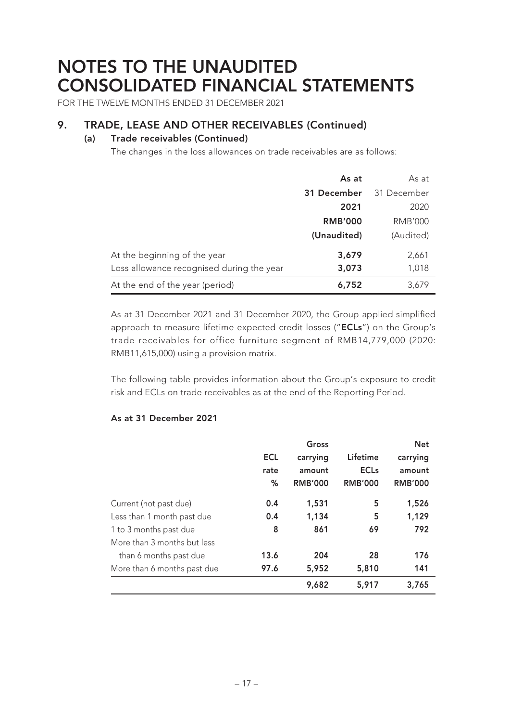FOR THE TWELVE MONTHS ENDED 31 DECEMBER 2021

### **9. TRADE, LEASE AND OTHER RECEIVABLES (Continued)**

#### **(a) Trade receivables (Continued)**

The changes in the loss allowances on trade receivables are as follows:

|                                           | As at          | As at       |
|-------------------------------------------|----------------|-------------|
|                                           | 31 December    | 31 December |
|                                           | 2021           | 2020        |
|                                           | <b>RMB'000</b> | RMB'000     |
|                                           | (Unaudited)    | (Audited)   |
| At the beginning of the year              | 3,679          | 2,661       |
| Loss allowance recognised during the year | 3,073          | 1,018       |
| At the end of the year (period)           | 6,752          | 3,679       |

As at 31 December 2021 and 31 December 2020, the Group applied simplified approach to measure lifetime expected credit losses ("**ECLs**") on the Group's trade receivables for office furniture segment of RMB14,779,000 (2020: RMB11,615,000) using a provision matrix.

The following table provides information about the Group's exposure to credit risk and ECLs on trade receivables as at the end of the Reporting Period.

#### **As at 31 December 2021**

|                             |            | Gross          |                | <b>Net</b>     |
|-----------------------------|------------|----------------|----------------|----------------|
|                             | <b>ECL</b> | carrying       | Lifetime       | carrying       |
|                             | rate       | amount         | <b>ECLs</b>    | amount         |
|                             | %          | <b>RMB'000</b> | <b>RMB'000</b> | <b>RMB'000</b> |
| Current (not past due)      | 0.4        | 1,531          | 5              | 1,526          |
| Less than 1 month past due  | 0.4        | 1,134          | 5              | 1,129          |
| 1 to 3 months past due      | 8          | 861            | 69             | 792            |
| More than 3 months but less |            |                |                |                |
| than 6 months past due      | 13.6       | 204            | 28             | 176            |
| More than 6 months past due | 97.6       | 5,952          | 5,810          | 141            |
|                             |            | 9,682          | 5,917          | 3,765          |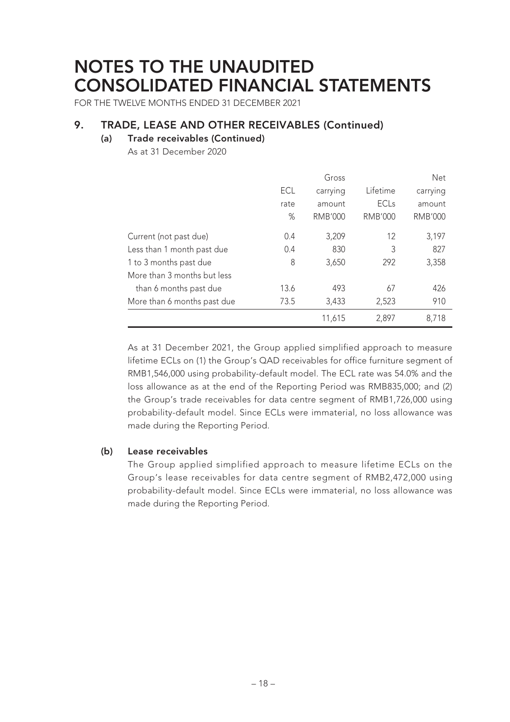FOR THE TWELVE MONTHS ENDED 31 DECEMBER 2021

### **9. TRADE, LEASE AND OTHER RECEIVABLES (Continued)**

#### **(a) Trade receivables (Continued)**

As at 31 December 2020

|                             |      | Gross          |                | Net            |
|-----------------------------|------|----------------|----------------|----------------|
|                             | ECL  | carrying       | Lifetime       | carrying       |
|                             | rate | amount         | <b>ECLs</b>    | amount         |
|                             | $\%$ | <b>RMB'000</b> | <b>RMB'000</b> | <b>RMB'000</b> |
| Current (not past due)      | 0.4  | 3,209          | 12             | 3,197          |
| Less than 1 month past due  | 0.4  | 830            | 3              | 827            |
| 1 to 3 months past due      | 8    | 3,650          | 292            | 3,358          |
| More than 3 months but less |      |                |                |                |
| than 6 months past due      | 13.6 | 493            | 67             | 426            |
| More than 6 months past due | 73.5 | 3,433          | 2,523          | 910            |
|                             |      | 11,615         | 2,897          | 8,718          |

As at 31 December 2021, the Group applied simplified approach to measure lifetime ECLs on (1) the Group's QAD receivables for office furniture segment of RMB1,546,000 using probability-default model. The ECL rate was 54.0% and the loss allowance as at the end of the Reporting Period was RMB835,000; and (2) the Group's trade receivables for data centre segment of RMB1,726,000 using probability-default model. Since ECLs were immaterial, no loss allowance was made during the Reporting Period.

#### **(b) Lease receivables**

The Group applied simplified approach to measure lifetime ECLs on the Group's lease receivables for data centre segment of RMB2,472,000 using probability-default model. Since ECLs were immaterial, no loss allowance was made during the Reporting Period.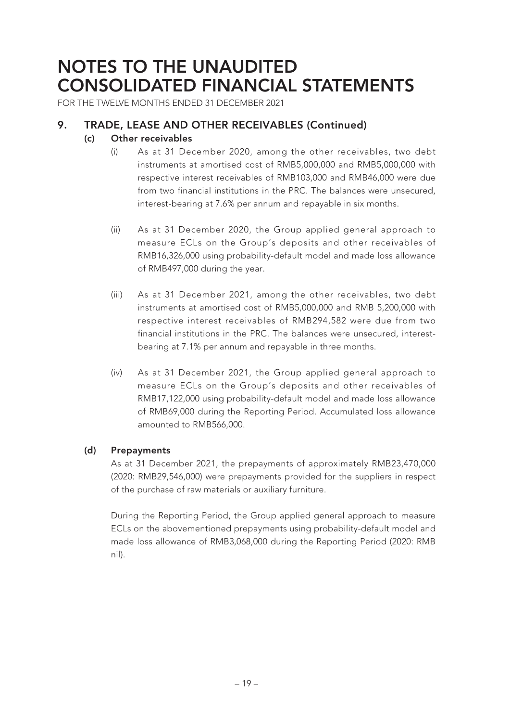FOR THE TWELVE MONTHS ENDED 31 DECEMBER 2021

### **9. TRADE, LEASE AND OTHER RECEIVABLES (Continued)**

#### **(c) Other receivables**

- (i) As at 31 December 2020, among the other receivables, two debt instruments at amortised cost of RMB5,000,000 and RMB5,000,000 with respective interest receivables of RMB103,000 and RMB46,000 were due from two financial institutions in the PRC. The balances were unsecured, interest-bearing at 7.6% per annum and repayable in six months.
- (ii) As at 31 December 2020, the Group applied general approach to measure ECLs on the Group's deposits and other receivables of RMB16,326,000 using probability-default model and made loss allowance of RMB497,000 during the year.
- (iii) As at 31 December 2021, among the other receivables, two debt instruments at amortised cost of RMB5,000,000 and RMB 5,200,000 with respective interest receivables of RMB294,582 were due from two financial institutions in the PRC. The balances were unsecured, interestbearing at 7.1% per annum and repayable in three months.
- (iv) As at 31 December 2021, the Group applied general approach to measure ECLs on the Group's deposits and other receivables of RMB17,122,000 using probability-default model and made loss allowance of RMB69,000 during the Reporting Period. Accumulated loss allowance amounted to RMB566,000.

#### **(d) Prepayments**

As at 31 December 2021, the prepayments of approximately RMB23,470,000 (2020: RMB29,546,000) were prepayments provided for the suppliers in respect of the purchase of raw materials or auxiliary furniture.

During the Reporting Period, the Group applied general approach to measure ECLs on the abovementioned prepayments using probability-default model and made loss allowance of RMB3,068,000 during the Reporting Period (2020: RMB nil).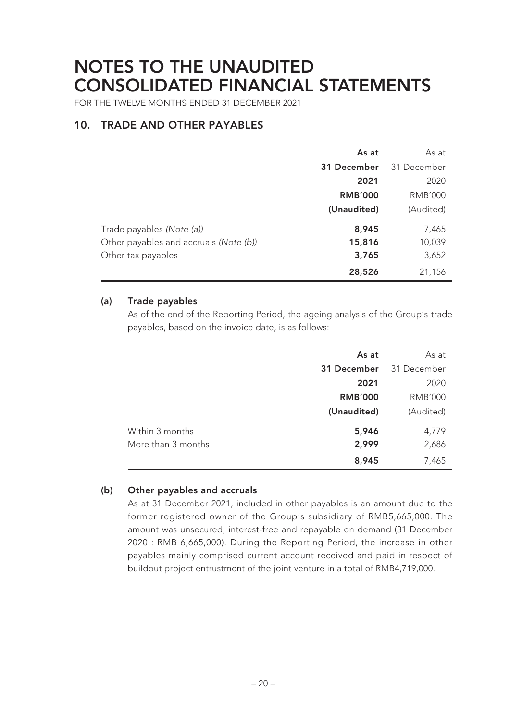FOR THE TWELVE MONTHS ENDED 31 DECEMBER 2021

### **10. TRADE AND OTHER PAYABLES**

|                                        | As at          | As at          |
|----------------------------------------|----------------|----------------|
|                                        | 31 December    | 31 December    |
|                                        | 2021           | 2020           |
|                                        | <b>RMB'000</b> | <b>RMB'000</b> |
|                                        | (Unaudited)    | (Audited)      |
| Trade payables (Note (a))              | 8,945          | 7,465          |
| Other payables and accruals (Note (b)) | 15,816         | 10,039         |
| Other tax payables                     | 3,765          | 3,652          |
|                                        | 28,526         | 21,156         |

#### **(a) Trade payables**

As of the end of the Reporting Period, the ageing analysis of the Group's trade payables, based on the invoice date, is as follows:

|                    | As at          | As at          |
|--------------------|----------------|----------------|
|                    | 31 December    | 31 December    |
|                    | 2021           | 2020           |
|                    | <b>RMB'000</b> | <b>RMB'000</b> |
|                    | (Unaudited)    | (Audited)      |
| Within 3 months    | 5,946          | 4,779          |
| More than 3 months | 2,999          | 2,686          |
|                    | 8,945          | 7,465          |

#### **(b) Other payables and accruals**

As at 31 December 2021, included in other payables is an amount due to the former registered owner of the Group's subsidiary of RMB5,665,000. The amount was unsecured, interest-free and repayable on demand (31 December 2020 : RMB 6,665,000). During the Reporting Period, the increase in other payables mainly comprised current account received and paid in respect of buildout project entrustment of the joint venture in a total of RMB4,719,000.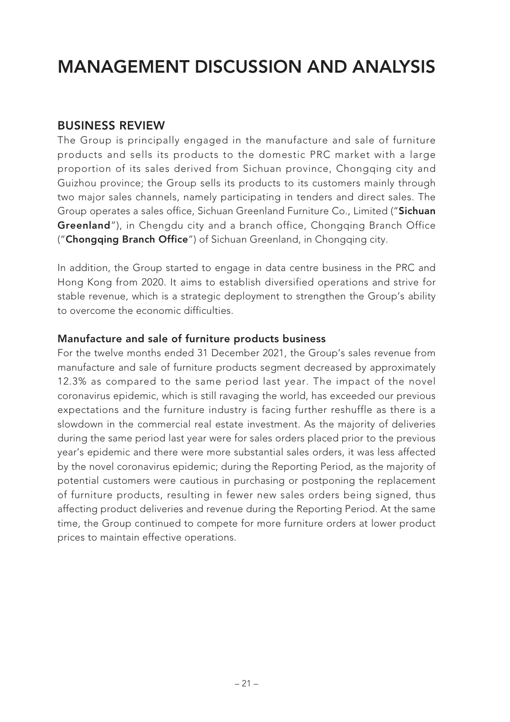### **BUSINESS REVIEW**

The Group is principally engaged in the manufacture and sale of furniture products and sells its products to the domestic PRC market with a large proportion of its sales derived from Sichuan province, Chongqing city and Guizhou province; the Group sells its products to its customers mainly through two major sales channels, namely participating in tenders and direct sales. The Group operates a sales office, Sichuan Greenland Furniture Co., Limited ("**Sichuan Greenland**"), in Chengdu city and a branch office, Chongqing Branch Office ("**Chongqing Branch Office**") of Sichuan Greenland, in Chongqing city.

In addition, the Group started to engage in data centre business in the PRC and Hong Kong from 2020. It aims to establish diversified operations and strive for stable revenue, which is a strategic deployment to strengthen the Group's ability to overcome the economic difficulties.

### **Manufacture and sale of furniture products business**

For the twelve months ended 31 December 2021, the Group's sales revenue from manufacture and sale of furniture products segment decreased by approximately 12.3% as compared to the same period last year. The impact of the novel coronavirus epidemic, which is still ravaging the world, has exceeded our previous expectations and the furniture industry is facing further reshuffle as there is a slowdown in the commercial real estate investment. As the majority of deliveries during the same period last year were for sales orders placed prior to the previous year's epidemic and there were more substantial sales orders, it was less affected by the novel coronavirus epidemic; during the Reporting Period, as the majority of potential customers were cautious in purchasing or postponing the replacement of furniture products, resulting in fewer new sales orders being signed, thus affecting product deliveries and revenue during the Reporting Period. At the same time, the Group continued to compete for more furniture orders at lower product prices to maintain effective operations.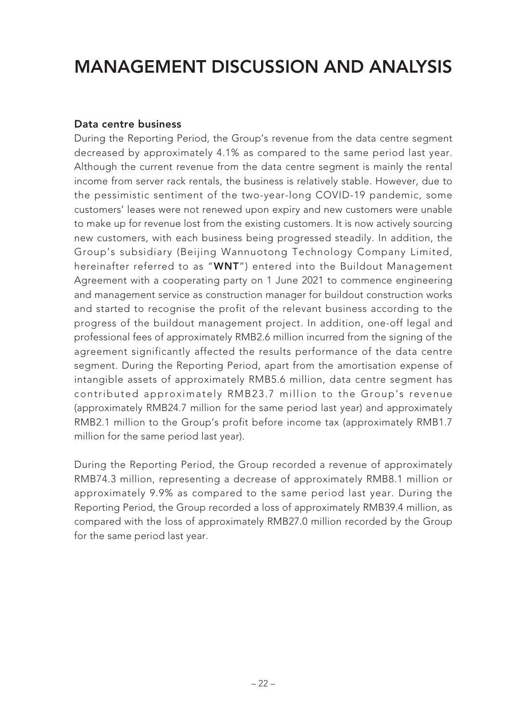### **Data centre business**

During the Reporting Period, the Group's revenue from the data centre segment decreased by approximately 4.1% as compared to the same period last year. Although the current revenue from the data centre segment is mainly the rental income from server rack rentals, the business is relatively stable. However, due to the pessimistic sentiment of the two-year-long COVID-19 pandemic, some customers' leases were not renewed upon expiry and new customers were unable to make up for revenue lost from the existing customers. It is now actively sourcing new customers, with each business being progressed steadily. In addition, the Group's subsidiary (Beijing Wannuotong Technology Company Limited, hereinafter referred to as "**WNT**") entered into the Buildout Management Agreement with a cooperating party on 1 June 2021 to commence engineering and management service as construction manager for buildout construction works and started to recognise the profit of the relevant business according to the progress of the buildout management project. In addition, one-off legal and professional fees of approximately RMB2.6 million incurred from the signing of the agreement significantly affected the results performance of the data centre segment. During the Reporting Period, apart from the amortisation expense of intangible assets of approximately RMB5.6 million, data centre segment has contributed approximately RMB23.7 million to the Group's revenue (approximately RMB24.7 million for the same period last year) and approximately RMB2.1 million to the Group's profit before income tax (approximately RMB1.7 million for the same period last year).

During the Reporting Period, the Group recorded a revenue of approximately RMB74.3 million, representing a decrease of approximately RMB8.1 million or approximately 9.9% as compared to the same period last year. During the Reporting Period, the Group recorded a loss of approximately RMB39.4 million, as compared with the loss of approximately RMB27.0 million recorded by the Group for the same period last year.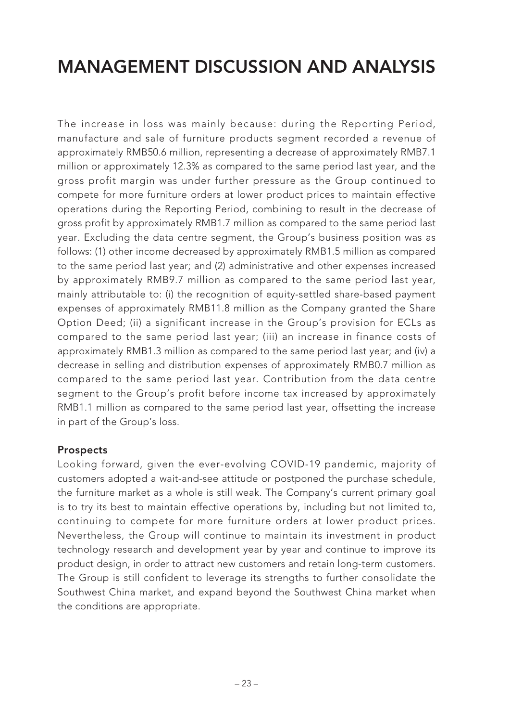The increase in loss was mainly because: during the Reporting Period, manufacture and sale of furniture products segment recorded a revenue of approximately RMB50.6 million, representing a decrease of approximately RMB7.1 million or approximately 12.3% as compared to the same period last year, and the gross profit margin was under further pressure as the Group continued to compete for more furniture orders at lower product prices to maintain effective operations during the Reporting Period, combining to result in the decrease of gross profit by approximately RMB1.7 million as compared to the same period last year. Excluding the data centre segment, the Group's business position was as follows: (1) other income decreased by approximately RMB1.5 million as compared to the same period last year; and (2) administrative and other expenses increased by approximately RMB9.7 million as compared to the same period last year, mainly attributable to: (i) the recognition of equity-settled share-based payment expenses of approximately RMB11.8 million as the Company granted the Share Option Deed; (ii) a significant increase in the Group's provision for ECLs as compared to the same period last year; (iii) an increase in finance costs of approximately RMB1.3 million as compared to the same period last year; and (iv) a decrease in selling and distribution expenses of approximately RMB0.7 million as compared to the same period last year. Contribution from the data centre segment to the Group's profit before income tax increased by approximately RMB1.1 million as compared to the same period last year, offsetting the increase in part of the Group's loss.

#### **Prospects**

Looking forward, given the ever-evolving COVID-19 pandemic, majority of customers adopted a wait-and-see attitude or postponed the purchase schedule, the furniture market as a whole is still weak. The Company's current primary goal is to try its best to maintain effective operations by, including but not limited to, continuing to compete for more furniture orders at lower product prices. Nevertheless, the Group will continue to maintain its investment in product technology research and development year by year and continue to improve its product design, in order to attract new customers and retain long-term customers. The Group is still confident to leverage its strengths to further consolidate the Southwest China market, and expand beyond the Southwest China market when the conditions are appropriate.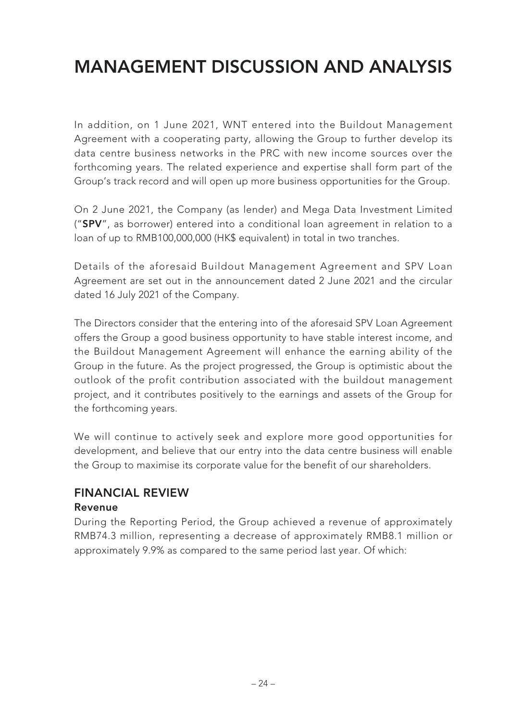In addition, on 1 June 2021, WNT entered into the Buildout Management Agreement with a cooperating party, allowing the Group to further develop its data centre business networks in the PRC with new income sources over the forthcoming years. The related experience and expertise shall form part of the Group's track record and will open up more business opportunities for the Group.

On 2 June 2021, the Company (as lender) and Mega Data Investment Limited ("**SPV**", as borrower) entered into a conditional loan agreement in relation to a loan of up to RMB100,000,000 (HK\$ equivalent) in total in two tranches.

Details of the aforesaid Buildout Management Agreement and SPV Loan Agreement are set out in the announcement dated 2 June 2021 and the circular dated 16 July 2021 of the Company.

The Directors consider that the entering into of the aforesaid SPV Loan Agreement offers the Group a good business opportunity to have stable interest income, and the Buildout Management Agreement will enhance the earning ability of the Group in the future. As the project progressed, the Group is optimistic about the outlook of the profit contribution associated with the buildout management project, and it contributes positively to the earnings and assets of the Group for the forthcoming years.

We will continue to actively seek and explore more good opportunities for development, and believe that our entry into the data centre business will enable the Group to maximise its corporate value for the benefit of our shareholders.

### **FINANCIAL REVIEW Revenue**

During the Reporting Period, the Group achieved a revenue of approximately RMB74.3 million, representing a decrease of approximately RMB8.1 million or approximately 9.9% as compared to the same period last year. Of which: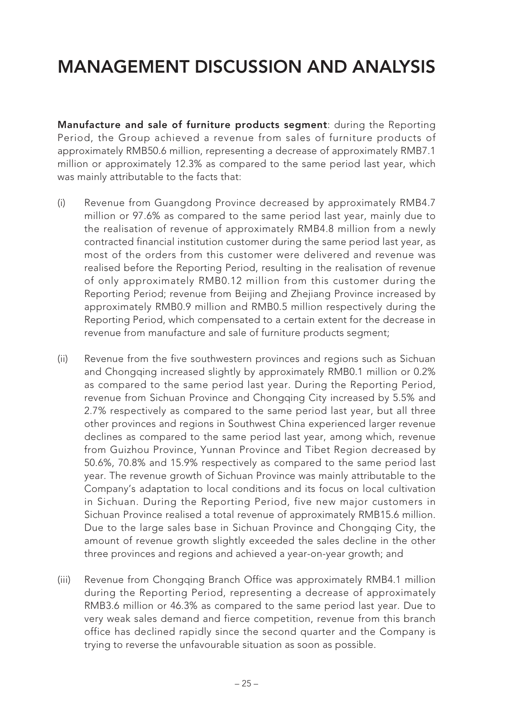**Manufacture and sale of furniture products segment**: during the Reporting Period, the Group achieved a revenue from sales of furniture products of approximately RMB50.6 million, representing a decrease of approximately RMB7.1 million or approximately 12.3% as compared to the same period last year, which was mainly attributable to the facts that:

- (i) Revenue from Guangdong Province decreased by approximately RMB4.7 million or 97.6% as compared to the same period last year, mainly due to the realisation of revenue of approximately RMB4.8 million from a newly contracted financial institution customer during the same period last year, as most of the orders from this customer were delivered and revenue was realised before the Reporting Period, resulting in the realisation of revenue of only approximately RMB0.12 million from this customer during the Reporting Period; revenue from Beijing and Zhejiang Province increased by approximately RMB0.9 million and RMB0.5 million respectively during the Reporting Period, which compensated to a certain extent for the decrease in revenue from manufacture and sale of furniture products segment;
- (ii) Revenue from the five southwestern provinces and regions such as Sichuan and Chongqing increased slightly by approximately RMB0.1 million or 0.2% as compared to the same period last year. During the Reporting Period, revenue from Sichuan Province and Chongqing City increased by 5.5% and 2.7% respectively as compared to the same period last year, but all three other provinces and regions in Southwest China experienced larger revenue declines as compared to the same period last year, among which, revenue from Guizhou Province, Yunnan Province and Tibet Region decreased by 50.6%, 70.8% and 15.9% respectively as compared to the same period last year. The revenue growth of Sichuan Province was mainly attributable to the Company's adaptation to local conditions and its focus on local cultivation in Sichuan. During the Reporting Period, five new major customers in Sichuan Province realised a total revenue of approximately RMB15.6 million. Due to the large sales base in Sichuan Province and Chongqing City, the amount of revenue growth slightly exceeded the sales decline in the other three provinces and regions and achieved a year-on-year growth; and
- (iii) Revenue from Chongqing Branch Office was approximately RMB4.1 million during the Reporting Period, representing a decrease of approximately RMB3.6 million or 46.3% as compared to the same period last year. Due to very weak sales demand and fierce competition, revenue from this branch office has declined rapidly since the second quarter and the Company is trying to reverse the unfavourable situation as soon as possible.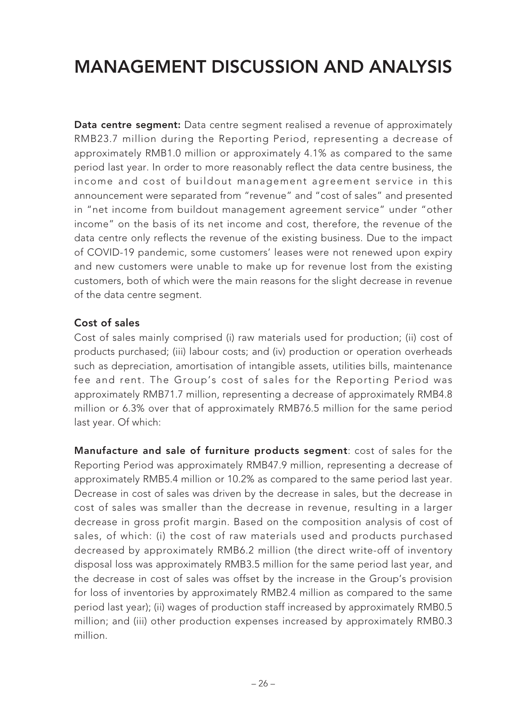**Data centre segment:** Data centre segment realised a revenue of approximately RMB23.7 million during the Reporting Period, representing a decrease of approximately RMB1.0 million or approximately 4.1% as compared to the same period last year. In order to more reasonably reflect the data centre business, the income and cost of buildout management agreement service in this announcement were separated from "revenue" and "cost of sales" and presented in "net income from buildout management agreement service" under "other income" on the basis of its net income and cost, therefore, the revenue of the data centre only reflects the revenue of the existing business. Due to the impact of COVID-19 pandemic, some customers' leases were not renewed upon expiry and new customers were unable to make up for revenue lost from the existing customers, both of which were the main reasons for the slight decrease in revenue of the data centre segment.

### **Cost of sales**

Cost of sales mainly comprised (i) raw materials used for production; (ii) cost of products purchased; (iii) labour costs; and (iv) production or operation overheads such as depreciation, amortisation of intangible assets, utilities bills, maintenance fee and rent. The Group's cost of sales for the Reporting Period was approximately RMB71.7 million, representing a decrease of approximately RMB4.8 million or 6.3% over that of approximately RMB76.5 million for the same period last year. Of which:

**Manufacture and sale of furniture products segment**: cost of sales for the Reporting Period was approximately RMB47.9 million, representing a decrease of approximately RMB5.4 million or 10.2% as compared to the same period last year. Decrease in cost of sales was driven by the decrease in sales, but the decrease in cost of sales was smaller than the decrease in revenue, resulting in a larger decrease in gross profit margin. Based on the composition analysis of cost of sales, of which: (i) the cost of raw materials used and products purchased decreased by approximately RMB6.2 million (the direct write-off of inventory disposal loss was approximately RMB3.5 million for the same period last year, and the decrease in cost of sales was offset by the increase in the Group's provision for loss of inventories by approximately RMB2.4 million as compared to the same period last year); (ii) wages of production staff increased by approximately RMB0.5 million; and (iii) other production expenses increased by approximately RMB0.3 million.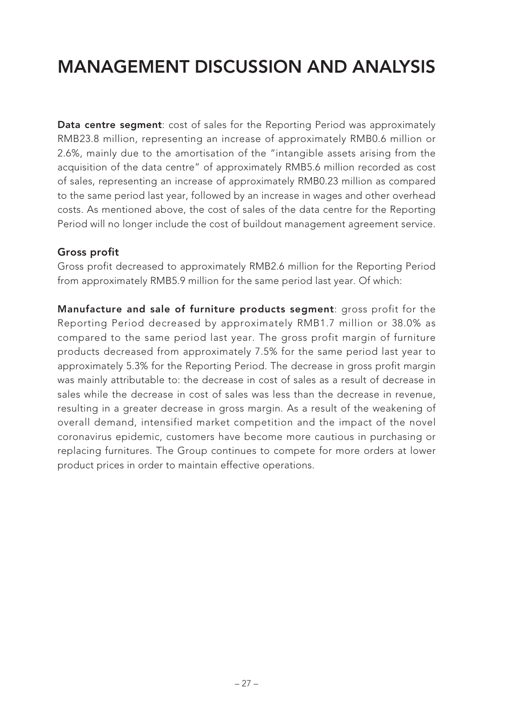**Data centre segment**: cost of sales for the Reporting Period was approximately RMB23.8 million, representing an increase of approximately RMB0.6 million or 2.6%, mainly due to the amortisation of the "intangible assets arising from the acquisition of the data centre" of approximately RMB5.6 million recorded as cost of sales, representing an increase of approximately RMB0.23 million as compared to the same period last year, followed by an increase in wages and other overhead costs. As mentioned above, the cost of sales of the data centre for the Reporting Period will no longer include the cost of buildout management agreement service.

#### **Gross profit**

Gross profit decreased to approximately RMB2.6 million for the Reporting Period from approximately RMB5.9 million for the same period last year. Of which:

**Manufacture and sale of furniture products segment**: gross profit for the Reporting Period decreased by approximately RMB1.7 million or 38.0% as compared to the same period last year. The gross profit margin of furniture products decreased from approximately 7.5% for the same period last year to approximately 5.3% for the Reporting Period. The decrease in gross profit margin was mainly attributable to: the decrease in cost of sales as a result of decrease in sales while the decrease in cost of sales was less than the decrease in revenue, resulting in a greater decrease in gross margin. As a result of the weakening of overall demand, intensified market competition and the impact of the novel coronavirus epidemic, customers have become more cautious in purchasing or replacing furnitures. The Group continues to compete for more orders at lower product prices in order to maintain effective operations.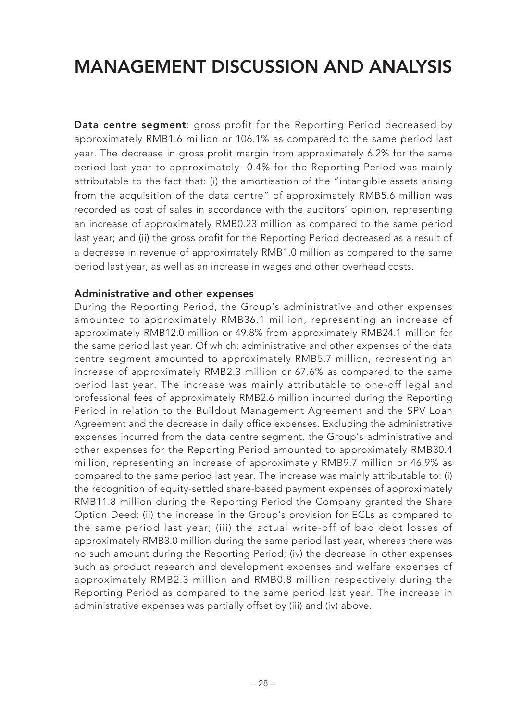**Data centre segment**: gross profit for the Reporting Period decreased by approximately RMB1.6 million or 106.1% as compared to the same period last year. The decrease in gross profit margin from approximately 6.2% for the same period last year to approximately -0.4% for the Reporting Period was mainly attributable to the fact that: (i) the amortisation of the "intangible assets arising from the acquisition of the data centre" of approximately RMB5.6 million was recorded as cost of sales in accordance with the auditors' opinion, representing an increase of approximately RMB0.23 million as compared to the same period last year; and (ii) the gross profit for the Reporting Period decreased as a result of a decrease in revenue of approximately RMB1.0 million as compared to the same period last year, as well as an increase in wages and other overhead costs.

#### **Administrative and other expenses**

During the Reporting Period, the Group's administrative and other expenses amounted to approximately RMB36.1 million, representing an increase of approximately RMB12.0 million or 49.8% from approximately RMB24.1 million for the same period last year. Of which: administrative and other expenses of the data centre segment amounted to approximately RMB5.7 million, representing an increase of approximately RMB2.3 million or 67.6% as compared to the same period last year. The increase was mainly attributable to one-off legal and professional fees of approximately RMB2.6 million incurred during the Reporting Period in relation to the Buildout Management Agreement and the SPV Loan Agreement and the decrease in daily office expenses. Excluding the administrative expenses incurred from the data centre segment, the Group's administrative and other expenses for the Reporting Period amounted to approximately RMB30.4 million, representing an increase of approximately RMB9.7 million or 46.9% as compared to the same period last year. The increase was mainly attributable to: (i) the recognition of equity-settled share-based payment expenses of approximately RMB11.8 million during the Reporting Period the Company granted the Share Option Deed; (ii) the increase in the Group's provision for ECLs as compared to the same period last year; (iii) the actual write-off of bad debt losses of approximately RMB3.0 million during the same period last year, whereas there was no such amount during the Reporting Period; (iv) the decrease in other expenses such as product research and development expenses and welfare expenses of approximately RMB2.3 million and RMB0.8 million respectively during the Reporting Period as compared to the same period last year. The increase in administrative expenses was partially offset by (iii) and (iv) above.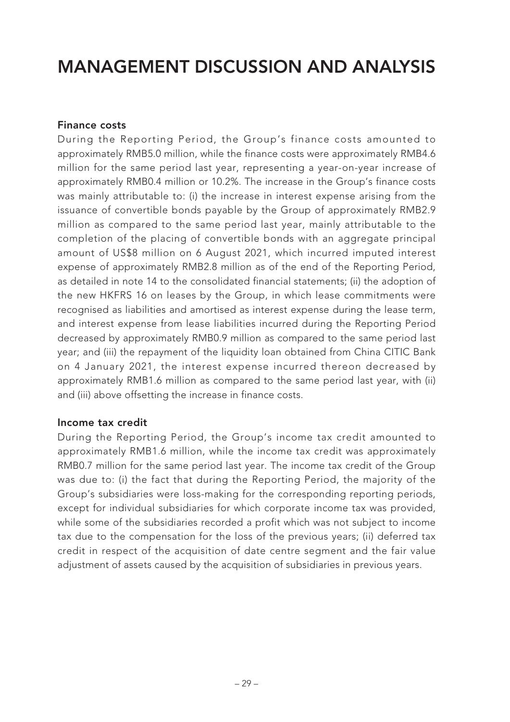### **Finance costs**

During the Reporting Period, the Group's finance costs amounted to approximately RMB5.0 million, while the finance costs were approximately RMB4.6 million for the same period last year, representing a year-on-year increase of approximately RMB0.4 million or 10.2%. The increase in the Group's finance costs was mainly attributable to: (i) the increase in interest expense arising from the issuance of convertible bonds payable by the Group of approximately RMB2.9 million as compared to the same period last year, mainly attributable to the completion of the placing of convertible bonds with an aggregate principal amount of US\$8 million on 6 August 2021, which incurred imputed interest expense of approximately RMB2.8 million as of the end of the Reporting Period, as detailed in note 14 to the consolidated financial statements; (ii) the adoption of the new HKFRS 16 on leases by the Group, in which lease commitments were recognised as liabilities and amortised as interest expense during the lease term, and interest expense from lease liabilities incurred during the Reporting Period decreased by approximately RMB0.9 million as compared to the same period last year; and (iii) the repayment of the liquidity loan obtained from China CITIC Bank on 4 January 2021, the interest expense incurred thereon decreased by approximately RMB1.6 million as compared to the same period last year, with (ii) and (iii) above offsetting the increase in finance costs.

#### **Income tax credit**

During the Reporting Period, the Group's income tax credit amounted to approximately RMB1.6 million, while the income tax credit was approximately RMB0.7 million for the same period last year. The income tax credit of the Group was due to: (i) the fact that during the Reporting Period, the majority of the Group's subsidiaries were loss-making for the corresponding reporting periods, except for individual subsidiaries for which corporate income tax was provided, while some of the subsidiaries recorded a profit which was not subject to income tax due to the compensation for the loss of the previous years; (ii) deferred tax credit in respect of the acquisition of date centre segment and the fair value adjustment of assets caused by the acquisition of subsidiaries in previous years.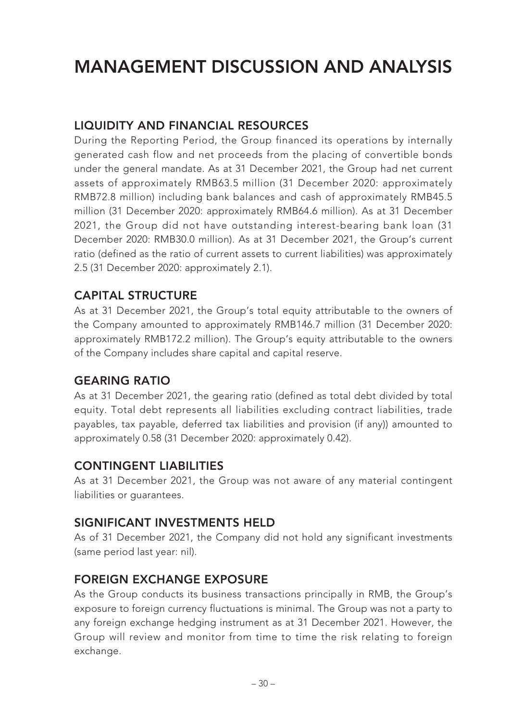## **LIQUIDITY AND FINANCIAL RESOURCES**

During the Reporting Period, the Group financed its operations by internally generated cash flow and net proceeds from the placing of convertible bonds under the general mandate. As at 31 December 2021, the Group had net current assets of approximately RMB63.5 million (31 December 2020: approximately RMB72.8 million) including bank balances and cash of approximately RMB45.5 million (31 December 2020: approximately RMB64.6 million). As at 31 December 2021, the Group did not have outstanding interest-bearing bank loan (31 December 2020: RMB30.0 million). As at 31 December 2021, the Group's current ratio (defined as the ratio of current assets to current liabilities) was approximately 2.5 (31 December 2020: approximately 2.1).

### **CAPITAL STRUCTURE**

As at 31 December 2021, the Group's total equity attributable to the owners of the Company amounted to approximately RMB146.7 million (31 December 2020: approximately RMB172.2 million). The Group's equity attributable to the owners of the Company includes share capital and capital reserve.

### **GEARING RATIO**

As at 31 December 2021, the gearing ratio (defined as total debt divided by total equity. Total debt represents all liabilities excluding contract liabilities, trade payables, tax payable, deferred tax liabilities and provision (if any)) amounted to approximately 0.58 (31 December 2020: approximately 0.42).

### **CONTINGENT LIABILITIES**

As at 31 December 2021, the Group was not aware of any material contingent liabilities or guarantees.

### **SIGNIFICANT INVESTMENTS HELD**

As of 31 December 2021, the Company did not hold any significant investments (same period last year: nil).

### **FOREIGN EXCHANGE EXPOSURE**

As the Group conducts its business transactions principally in RMB, the Group's exposure to foreign currency fluctuations is minimal. The Group was not a party to any foreign exchange hedging instrument as at 31 December 2021. However, the Group will review and monitor from time to time the risk relating to foreign exchange.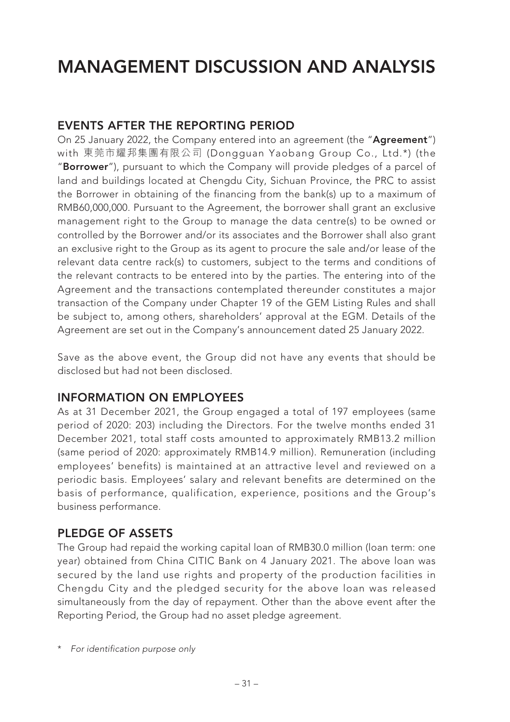### **EVENTS AFTER THE REPORTING PERIOD**

On 25 January 2022, the Company entered into an agreement (the "**Agreement**") with 東莞市耀邦集團有限公司 (Dongguan Yaobang Group Co., Ltd.\*) (the "**Borrower**"), pursuant to which the Company will provide pledges of a parcel of land and buildings located at Chengdu City, Sichuan Province, the PRC to assist the Borrower in obtaining of the financing from the bank(s) up to a maximum of RMB60,000,000. Pursuant to the Agreement, the borrower shall grant an exclusive management right to the Group to manage the data centre(s) to be owned or controlled by the Borrower and/or its associates and the Borrower shall also grant an exclusive right to the Group as its agent to procure the sale and/or lease of the relevant data centre rack(s) to customers, subject to the terms and conditions of the relevant contracts to be entered into by the parties. The entering into of the Agreement and the transactions contemplated thereunder constitutes a major transaction of the Company under Chapter 19 of the GEM Listing Rules and shall be subject to, among others, shareholders' approval at the EGM. Details of the Agreement are set out in the Company's announcement dated 25 January 2022.

Save as the above event, the Group did not have any events that should be disclosed but had not been disclosed.

### **INFORMATION ON EMPLOYEES**

As at 31 December 2021, the Group engaged a total of 197 employees (same period of 2020: 203) including the Directors. For the twelve months ended 31 December 2021, total staff costs amounted to approximately RMB13.2 million (same period of 2020: approximately RMB14.9 million). Remuneration (including employees' benefits) is maintained at an attractive level and reviewed on a periodic basis. Employees' salary and relevant benefits are determined on the basis of performance, qualification, experience, positions and the Group's business performance.

### **PLEDGE OF ASSETS**

The Group had repaid the working capital loan of RMB30.0 million (loan term: one year) obtained from China CITIC Bank on 4 January 2021. The above loan was secured by the land use rights and property of the production facilities in Chengdu City and the pledged security for the above loan was released simultaneously from the day of repayment. Other than the above event after the Reporting Period, the Group had no asset pledge agreement.

\* For identification purpose only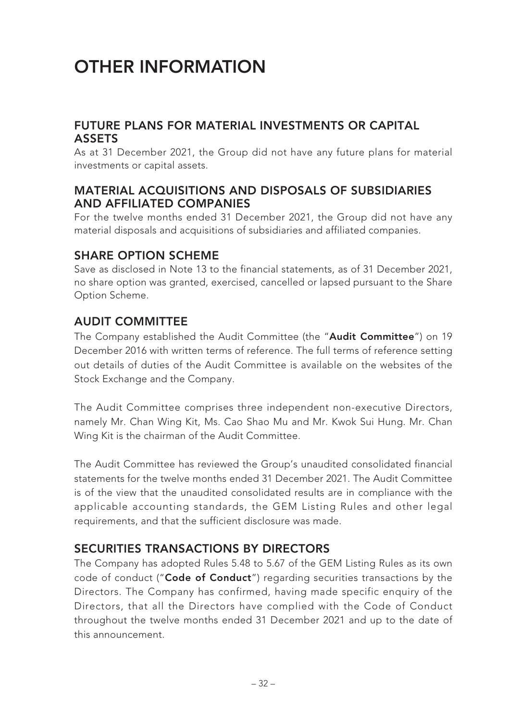# **OTHER INFORMATION**

### **FUTURE PLANS FOR MATERIAL INVESTMENTS OR CAPITAL ASSETS**

As at 31 December 2021, the Group did not have any future plans for material investments or capital assets.

### **MATERIAL ACQUISITIONS AND DISPOSALS OF SUBSIDIARIES AND AFFILIATED COMPANIES**

For the twelve months ended 31 December 2021, the Group did not have any material disposals and acquisitions of subsidiaries and affiliated companies.

### **SHARE OPTION SCHEME**

Save as disclosed in Note 13 to the financial statements, as of 31 December 2021, no share option was granted, exercised, cancelled or lapsed pursuant to the Share Option Scheme.

### **AUDIT COMMITTEE**

The Company established the Audit Committee (the "**Audit Committee**") on 19 December 2016 with written terms of reference. The full terms of reference setting out details of duties of the Audit Committee is available on the websites of the Stock Exchange and the Company.

The Audit Committee comprises three independent non-executive Directors, namely Mr. Chan Wing Kit, Ms. Cao Shao Mu and Mr. Kwok Sui Hung. Mr. Chan Wing Kit is the chairman of the Audit Committee.

The Audit Committee has reviewed the Group's unaudited consolidated financial statements for the twelve months ended 31 December 2021. The Audit Committee is of the view that the unaudited consolidated results are in compliance with the applicable accounting standards, the GEM Listing Rules and other legal requirements, and that the sufficient disclosure was made.

### **SECURITIES TRANSACTIONS BY DIRECTORS**

The Company has adopted Rules 5.48 to 5.67 of the GEM Listing Rules as its own code of conduct ("**Code of Conduct**") regarding securities transactions by the Directors. The Company has confirmed, having made specific enquiry of the Directors, that all the Directors have complied with the Code of Conduct throughout the twelve months ended 31 December 2021 and up to the date of this announcement.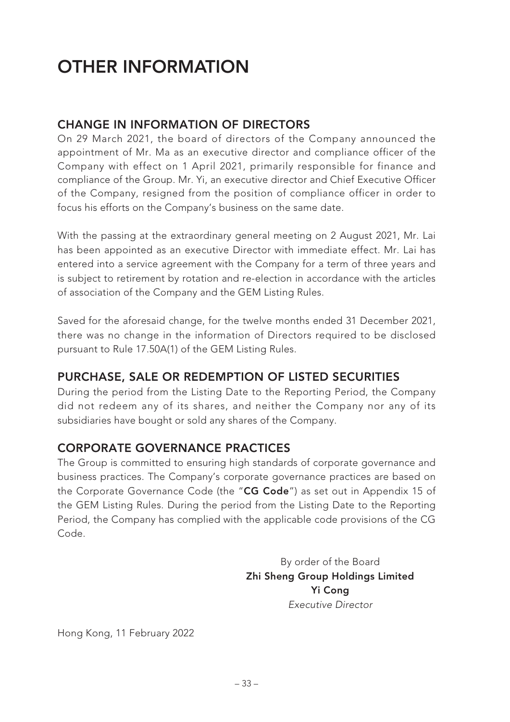# **OTHER INFORMATION**

## **CHANGE IN INFORMATION OF DIRECTORS**

On 29 March 2021, the board of directors of the Company announced the appointment of Mr. Ma as an executive director and compliance officer of the Company with effect on 1 April 2021, primarily responsible for finance and compliance of the Group. Mr. Yi, an executive director and Chief Executive Officer of the Company, resigned from the position of compliance officer in order to focus his efforts on the Company's business on the same date.

With the passing at the extraordinary general meeting on 2 August 2021, Mr. Lai has been appointed as an executive Director with immediate effect. Mr. Lai has entered into a service agreement with the Company for a term of three years and is subject to retirement by rotation and re-election in accordance with the articles of association of the Company and the GEM Listing Rules.

Saved for the aforesaid change, for the twelve months ended 31 December 2021, there was no change in the information of Directors required to be disclosed pursuant to Rule 17.50A(1) of the GEM Listing Rules.

### **PURCHASE, SALE OR REDEMPTION OF LISTED SECURITIES**

During the period from the Listing Date to the Reporting Period, the Company did not redeem any of its shares, and neither the Company nor any of its subsidiaries have bought or sold any shares of the Company.

### **CORPORATE GOVERNANCE PRACTICES**

The Group is committed to ensuring high standards of corporate governance and business practices. The Company's corporate governance practices are based on the Corporate Governance Code (the "**CG Code**") as set out in Appendix 15 of the GEM Listing Rules. During the period from the Listing Date to the Reporting Period, the Company has complied with the applicable code provisions of the CG Code.

> By order of the Board **Zhi Sheng Group Holdings Limited Yi Cong** Executive Director

Hong Kong, 11 February 2022